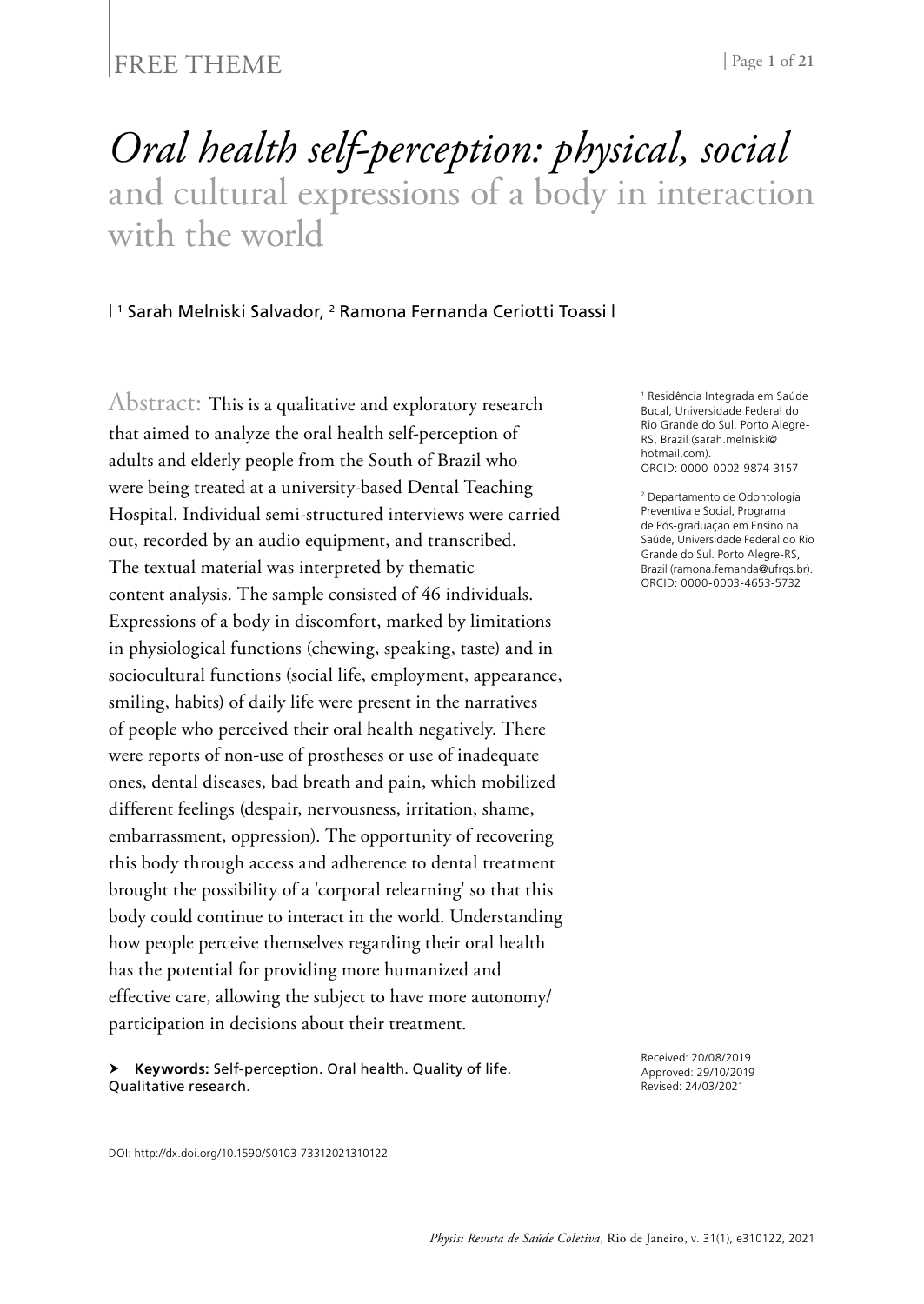### FREE THEME | Page 1 of 21

# *Oral health self-perception: physical, social* and cultural expressions of a body in interaction with the world

#### | 1 Sarah Melniski Salvador, 2 Ramona Fernanda Ceriotti Toassi |

Abstract: This is a qualitative and exploratory research that aimed to analyze the oral health self-perception of adults and elderly people from the South of Brazil who were being treated at a university-based Dental Teaching Hospital. Individual semi-structured interviews were carried out, recorded by an audio equipment, and transcribed. The textual material was interpreted by thematic content analysis. The sample consisted of 46 individuals. Expressions of a body in discomfort, marked by limitations in physiological functions (chewing, speaking, taste) and in sociocultural functions (social life, employment, appearance, smiling, habits) of daily life were present in the narratives of people who perceived their oral health negatively. There were reports of non-use of prostheses or use of inadequate ones, dental diseases, bad breath and pain, which mobilized different feelings (despair, nervousness, irritation, shame, embarrassment, oppression). The opportunity of recovering this body through access and adherence to dental treatment brought the possibility of a 'corporal relearning' so that this body could continue to interact in the world. Understanding how people perceive themselves regarding their oral health has the potential for providing more humanized and effective care, allowing the subject to have more autonomy/ participation in decisions about their treatment.

 **Keywords:** Self-perception. Oral health. Quality of life. Qualitative research.

Bucal, Universidade Federal do Rio Grande do Sul. Porto Alegre-RS, Brazil ([sarah.melniski@](mailto:sarah.melniski@hotmail.com) [hotmail.com\)](mailto:sarah.melniski@hotmail.com) ORCID: 0000-0002-9874-3157

1 Residência Integrada em Saúde

2 Departamento de Odontologia Preventiva e Social, Programa de Pós-graduação em Ensino na Saúde, Universidade Federal do Rio Grande do Sul. Porto Alegre-RS, Brazil [\(ramona.fernanda@ufrgs.br\)](mailto:ramona.fernanda@ufrgs.br). ORCID: 0000-0003-4653-5732

Received: 20/08/2019 Approved: 29/10/2019 Revised: 24/03/2021

DOI: http://dx.doi.org/10.1590/S0103-73312021310122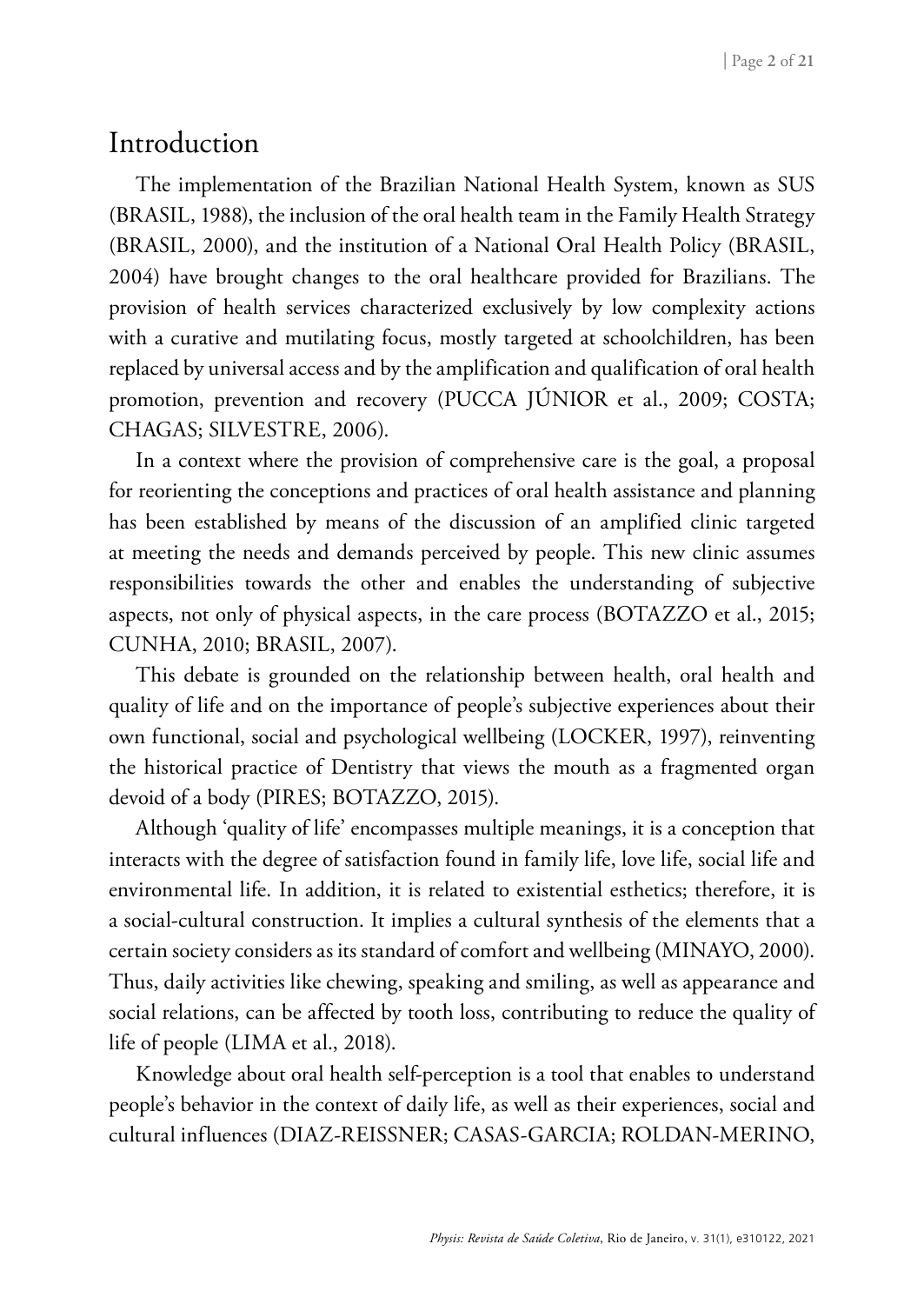### Introduction

The implementation of the Brazilian National Health System, known as SUS (BRASIL, 1988), the inclusion of the oral health team in the Family Health Strategy (BRASIL, 2000), and the institution of a National Oral Health Policy (BRASIL, 2004) have brought changes to the oral healthcare provided for Brazilians. The provision of health services characterized exclusively by low complexity actions with a curative and mutilating focus, mostly targeted at schoolchildren, has been replaced by universal access and by the amplification and qualification of oral health promotion, prevention and recovery (PUCCA JÚNIOR et al., 2009; COSTA; CHAGAS; SILVESTRE, 2006).

In a context where the provision of comprehensive care is the goal, a proposal for reorienting the conceptions and practices of oral health assistance and planning has been established by means of the discussion of an amplified clinic targeted at meeting the needs and demands perceived by people. This new clinic assumes responsibilities towards the other and enables the understanding of subjective aspects, not only of physical aspects, in the care process (BOTAZZO et al., 2015; CUNHA, 2010; BRASIL, 2007).

This debate is grounded on the relationship between health, oral health and quality of life and on the importance of people's subjective experiences about their own functional, social and psychological wellbeing (LOCKER, 1997), reinventing the historical practice of Dentistry that views the mouth as a fragmented organ devoid of a body (PIRES; BOTAZZO, 2015).

Although 'quality of life' encompasses multiple meanings, it is a conception that interacts with the degree of satisfaction found in family life, love life, social life and environmental life. In addition, it is related to existential esthetics; therefore, it is a social-cultural construction. It implies a cultural synthesis of the elements that a certain society considers as its standard of comfort and wellbeing (MINAYO, 2000). Thus, daily activities like chewing, speaking and smiling, as well as appearance and social relations, can be affected by tooth loss, contributing to reduce the quality of life of people (LIMA et al., 2018).

Knowledge about oral health self-perception is a tool that enables to understand people's behavior in the context of daily life, as well as their experiences, social and cultural influences (DIAZ-REISSNER; CASAS-GARCIA; ROLDAN-MERINO,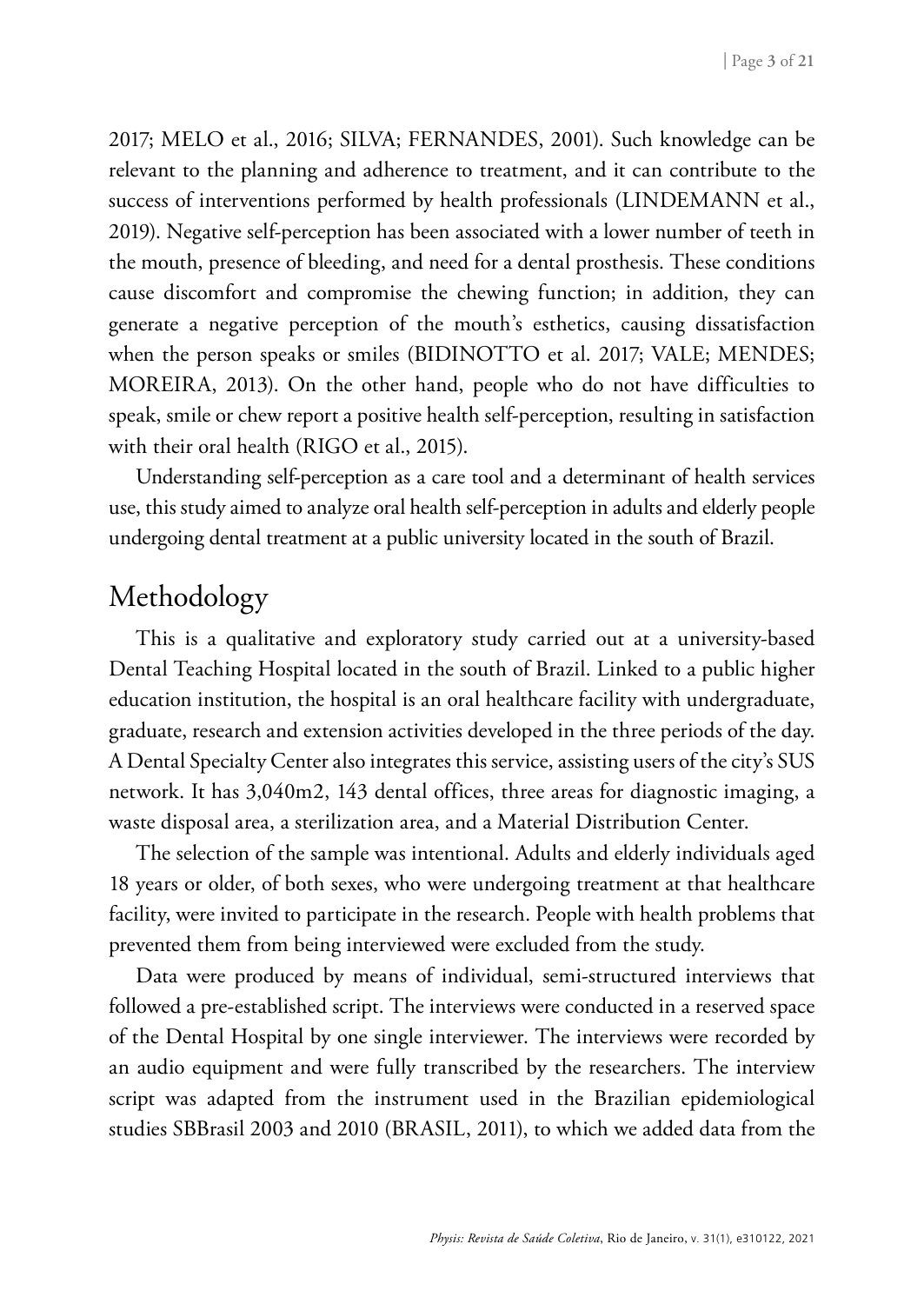2017; MELO et al., 2016; SILVA; FERNANDES, 2001). Such knowledge can be relevant to the planning and adherence to treatment, and it can contribute to the success of interventions performed by health professionals (LINDEMANN et al., 2019). Negative self-perception has been associated with a lower number of teeth in the mouth, presence of bleeding, and need for a dental prosthesis. These conditions cause discomfort and compromise the chewing function; in addition, they can generate a negative perception of the mouth's esthetics, causing dissatisfaction when the person speaks or smiles (BIDINOTTO et al. 2017; VALE; MENDES; MOREIRA, 2013). On the other hand, people who do not have difficulties to speak, smile or chew report a positive health self-perception, resulting in satisfaction with their oral health (RIGO et al., 2015).

Understanding self-perception as a care tool and a determinant of health services use, this study aimed to analyze oral health self-perception in adults and elderly people undergoing dental treatment at a public university located in the south of Brazil.

### Methodology

This is a qualitative and exploratory study carried out at a university-based Dental Teaching Hospital located in the south of Brazil. Linked to a public higher education institution, the hospital is an oral healthcare facility with undergraduate, graduate, research and extension activities developed in the three periods of the day. A Dental Specialty Center also integrates this service, assisting users of the city's SUS network. It has 3,040m2, 143 dental offices, three areas for diagnostic imaging, a waste disposal area, a sterilization area, and a Material Distribution Center.

The selection of the sample was intentional. Adults and elderly individuals aged 18 years or older, of both sexes, who were undergoing treatment at that healthcare facility, were invited to participate in the research. People with health problems that prevented them from being interviewed were excluded from the study.

Data were produced by means of individual, semi-structured interviews that followed a pre-established script. The interviews were conducted in a reserved space of the Dental Hospital by one single interviewer. The interviews were recorded by an audio equipment and were fully transcribed by the researchers. The interview script was adapted from the instrument used in the Brazilian epidemiological studies SBBrasil 2003 and 2010 (BRASIL, 2011), to which we added data from the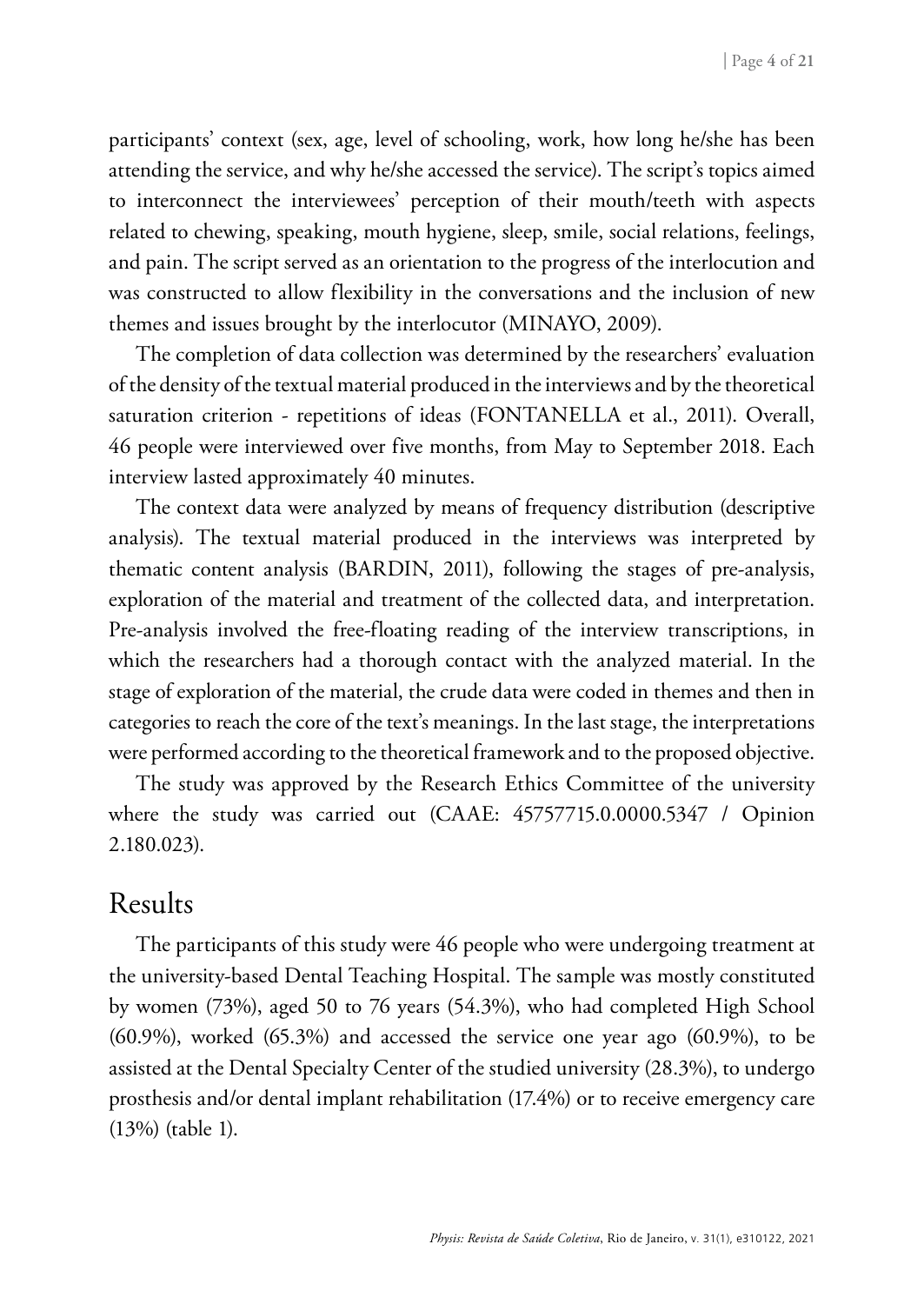participants' context (sex, age, level of schooling, work, how long he/she has been attending the service, and why he/she accessed the service). The script's topics aimed to interconnect the interviewees' perception of their mouth/teeth with aspects related to chewing, speaking, mouth hygiene, sleep, smile, social relations, feelings, and pain. The script served as an orientation to the progress of the interlocution and was constructed to allow flexibility in the conversations and the inclusion of new themes and issues brought by the interlocutor (MINAYO, 2009).

The completion of data collection was determined by the researchers' evaluation of the density of the textual material produced in the interviews and by the theoretical saturation criterion - repetitions of ideas (FONTANELLA et al., 2011). Overall, 46 people were interviewed over five months, from May to September 2018. Each interview lasted approximately 40 minutes.

The context data were analyzed by means of frequency distribution (descriptive analysis). The textual material produced in the interviews was interpreted by thematic content analysis (BARDIN, 2011), following the stages of pre-analysis, exploration of the material and treatment of the collected data, and interpretation. Pre-analysis involved the free-floating reading of the interview transcriptions, in which the researchers had a thorough contact with the analyzed material. In the stage of exploration of the material, the crude data were coded in themes and then in categories to reach the core of the text's meanings. In the last stage, the interpretations were performed according to the theoretical framework and to the proposed objective.

The study was approved by the Research Ethics Committee of the university where the study was carried out (CAAE: 45757715.0.0000.5347 / Opinion 2.180.023).

### Results

The participants of this study were 46 people who were undergoing treatment at the university-based Dental Teaching Hospital. The sample was mostly constituted by women (73%), aged 50 to 76 years (54.3%), who had completed High School (60.9%), worked (65.3%) and accessed the service one year ago (60.9%), to be assisted at the Dental Specialty Center of the studied university (28.3%), to undergo prosthesis and/or dental implant rehabilitation (17.4%) or to receive emergency care (13%) (table 1).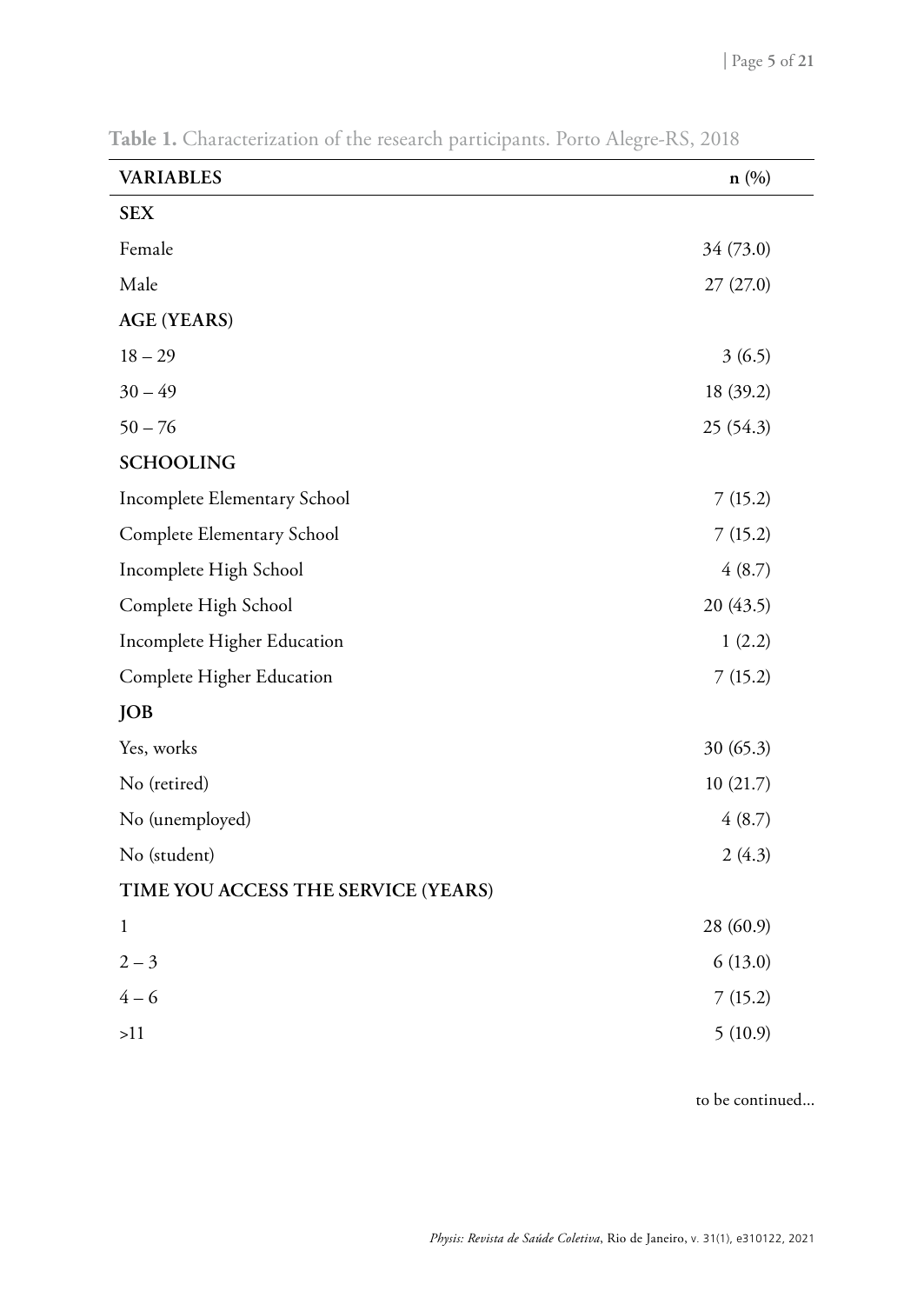| <b>VARIABLES</b>                    | n(%)      |
|-------------------------------------|-----------|
| <b>SEX</b>                          |           |
| Female                              | 34 (73.0) |
| Male                                | 27 (27.0) |
| <b>AGE (YEARS)</b>                  |           |
| $18 - 29$                           | 3(6.5)    |
| $30 - 49$                           | 18 (39.2) |
| $50 - 76$                           | 25 (54.3) |
| <b>SCHOOLING</b>                    |           |
| Incomplete Elementary School        | 7(15.2)   |
| Complete Elementary School          | 7(15.2)   |
| Incomplete High School              | 4(8.7)    |
| Complete High School                | 20 (43.5) |
| Incomplete Higher Education         | 1(2.2)    |
| Complete Higher Education           | 7(15.2)   |
| <b>JOB</b>                          |           |
| Yes, works                          | 30(65.3)  |
| No (retired)                        | 10(21.7)  |
| No (unemployed)                     | 4(8.7)    |
| No (student)                        | 2(4.3)    |
| TIME YOU ACCESS THE SERVICE (YEARS) |           |
| $\mathbf{1}$                        | 28 (60.9) |
| $2 - 3$                             | 6(13.0)   |
| $4 - 6$                             | 7(15.2)   |
| >11                                 | 5(10.9)   |

**Table 1.** Characterization of the research participants. Porto Alegre-RS, 2018

to be continued...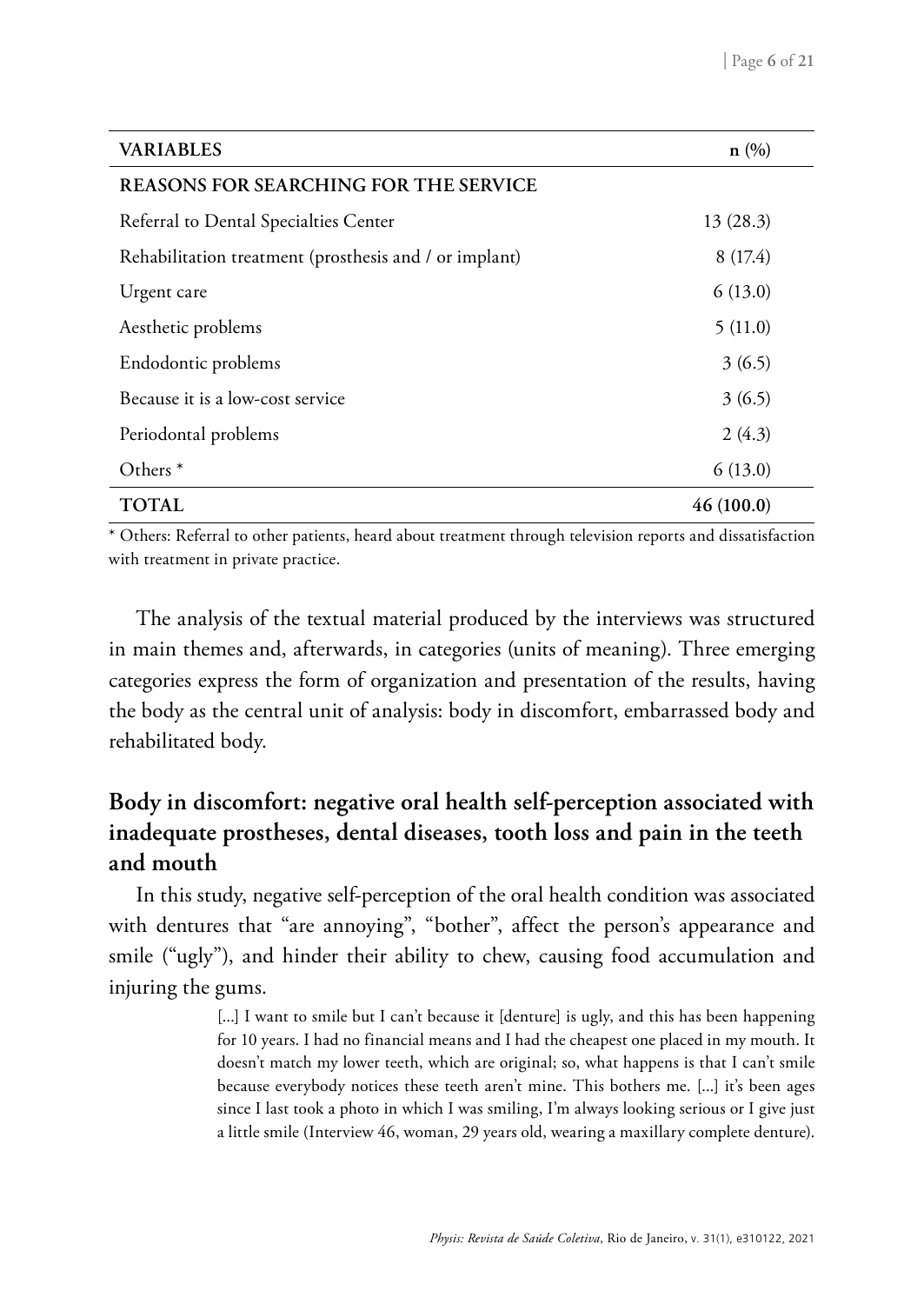| <b>VARIABLES</b>                                       | n(%)      |
|--------------------------------------------------------|-----------|
| <b>REASONS FOR SEARCHING FOR THE SERVICE</b>           |           |
| Referral to Dental Specialties Center                  | 13(28.3)  |
| Rehabilitation treatment (prosthesis and / or implant) | 8(17.4)   |
| Urgent care                                            | 6(13.0)   |
| Aesthetic problems                                     | 5(11.0)   |
| Endodontic problems                                    | 3(6.5)    |
| Because it is a low-cost service                       | 3(6.5)    |
| Periodontal problems                                   | 2(4.3)    |
| Others $*$                                             | 6(13.0)   |
| TOTAL                                                  | 46(100.0) |

\* Others: Referral to other patients, heard about treatment through television reports and dissatisfaction with treatment in private practice.

The analysis of the textual material produced by the interviews was structured in main themes and, afterwards, in categories (units of meaning). Three emerging categories express the form of organization and presentation of the results, having the body as the central unit of analysis: body in discomfort, embarrassed body and rehabilitated body.

### **Body in discomfort: negative oral health self-perception associated with inadequate prostheses, dental diseases, tooth loss and pain in the teeth and mouth**

In this study, negative self-perception of the oral health condition was associated with dentures that "are annoying", "bother", affect the person's appearance and smile ("ugly"), and hinder their ability to chew, causing food accumulation and injuring the gums.

> [...] I want to smile but I can't because it [denture] is ugly, and this has been happening for 10 years. I had no financial means and I had the cheapest one placed in my mouth. It doesn't match my lower teeth, which are original; so, what happens is that I can't smile because everybody notices these teeth aren't mine. This bothers me. [...] it's been ages since I last took a photo in which I was smiling, I'm always looking serious or I give just a little smile (Interview 46, woman, 29 years old, wearing a maxillary complete denture).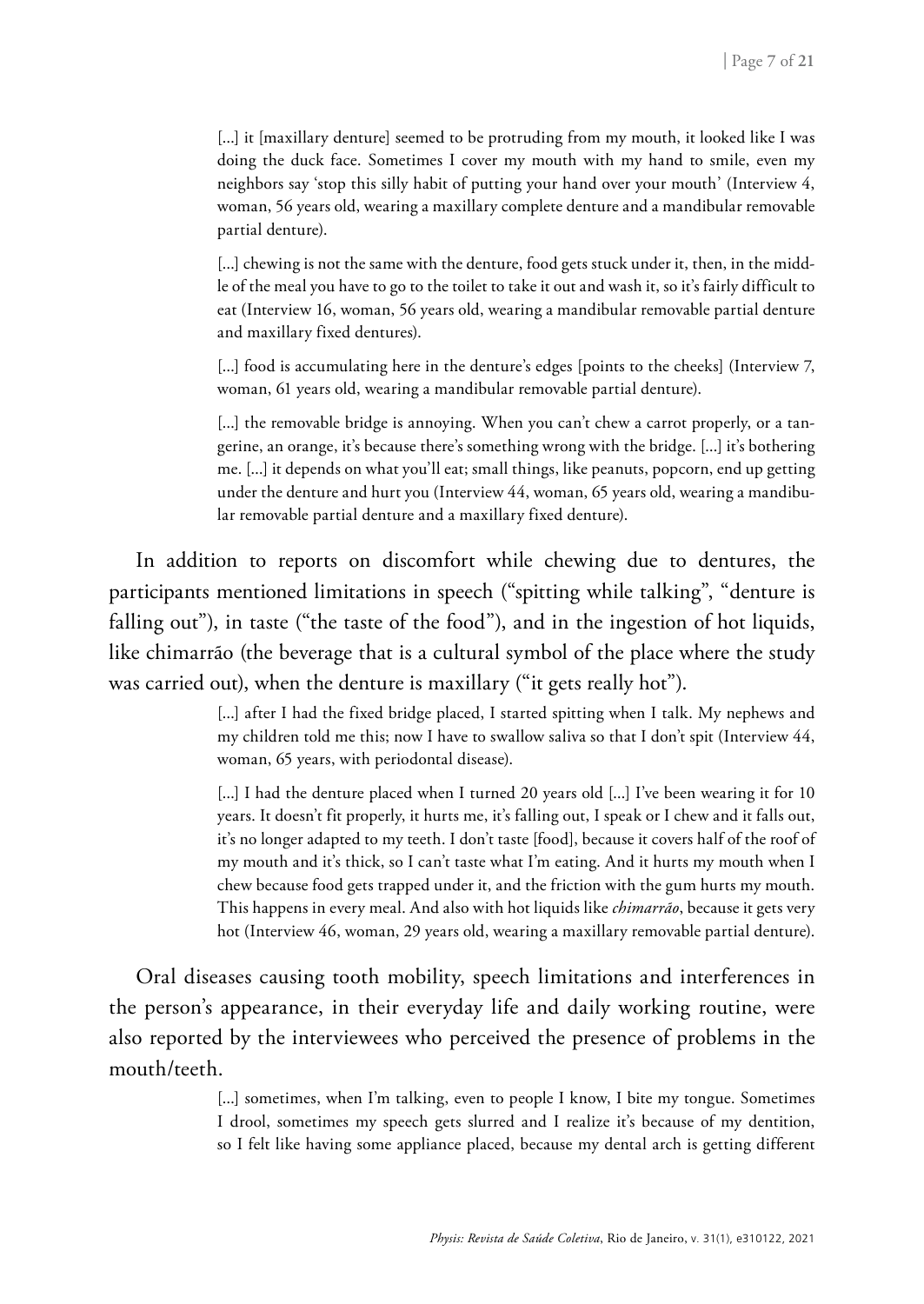[...] it [maxillary denture] seemed to be protruding from my mouth, it looked like I was doing the duck face. Sometimes I cover my mouth with my hand to smile, even my neighbors say 'stop this silly habit of putting your hand over your mouth' (Interview 4, woman, 56 years old, wearing a maxillary complete denture and a mandibular removable partial denture).

[...] chewing is not the same with the denture, food gets stuck under it, then, in the middle of the meal you have to go to the toilet to take it out and wash it, so it's fairly difficult to eat (Interview 16, woman, 56 years old, wearing a mandibular removable partial denture and maxillary fixed dentures).

[...] food is accumulating here in the denture's edges [points to the cheeks] (Interview 7, woman, 61 years old, wearing a mandibular removable partial denture).

[...] the removable bridge is annoying. When you can't chew a carrot properly, or a tangerine, an orange, it's because there's something wrong with the bridge. [...] it's bothering me. [...] it depends on what you'll eat; small things, like peanuts, popcorn, end up getting under the denture and hurt you (Interview 44, woman, 65 years old, wearing a mandibular removable partial denture and a maxillary fixed denture).

In addition to reports on discomfort while chewing due to dentures, the participants mentioned limitations in speech ("spitting while talking", "denture is falling out"), in taste ("the taste of the food"), and in the ingestion of hot liquids, like chimarrão (the beverage that is a cultural symbol of the place where the study was carried out), when the denture is maxillary ("it gets really hot").

> [...] after I had the fixed bridge placed, I started spitting when I talk. My nephews and my children told me this; now I have to swallow saliva so that I don't spit (Interview 44, woman, 65 years, with periodontal disease).

> [...] I had the denture placed when I turned 20 years old [...] I've been wearing it for 10 years. It doesn't fit properly, it hurts me, it's falling out, I speak or I chew and it falls out, it's no longer adapted to my teeth. I don't taste [food], because it covers half of the roof of my mouth and it's thick, so I can't taste what I'm eating. And it hurts my mouth when I chew because food gets trapped under it, and the friction with the gum hurts my mouth. This happens in every meal. And also with hot liquids like *chimarrão*, because it gets very hot (Interview 46, woman, 29 years old, wearing a maxillary removable partial denture).

Oral diseases causing tooth mobility, speech limitations and interferences in the person's appearance, in their everyday life and daily working routine, were also reported by the interviewees who perceived the presence of problems in the mouth/teeth.

> [...] sometimes, when I'm talking, even to people I know, I bite my tongue. Sometimes I drool, sometimes my speech gets slurred and I realize it's because of my dentition, so I felt like having some appliance placed, because my dental arch is getting different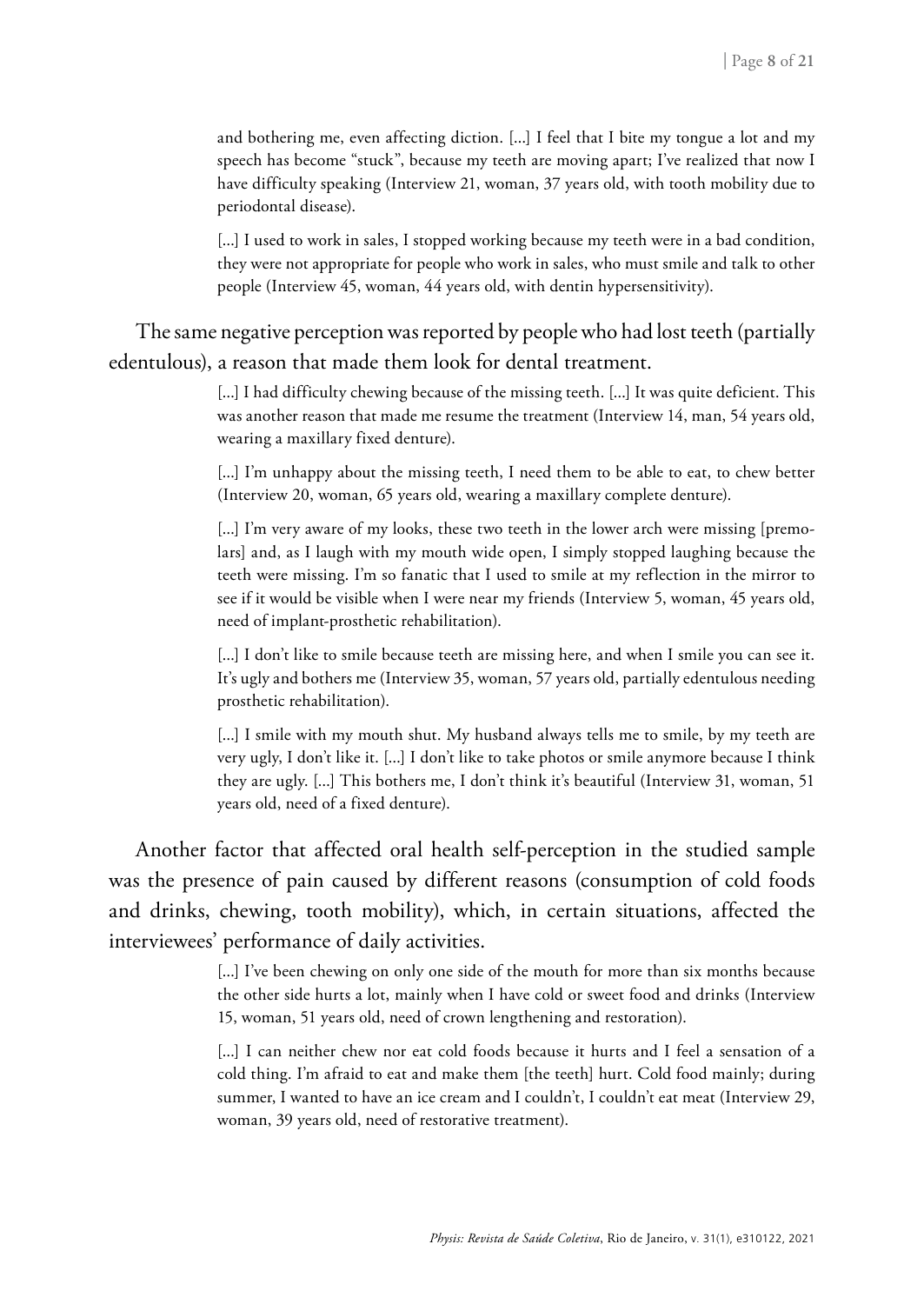and bothering me, even affecting diction. [...] I feel that I bite my tongue a lot and my speech has become "stuck", because my teeth are moving apart; I've realized that now I have difficulty speaking (Interview 21, woman, 37 years old, with tooth mobility due to periodontal disease).

[...] I used to work in sales, I stopped working because my teeth were in a bad condition, they were not appropriate for people who work in sales, who must smile and talk to other people (Interview 45, woman, 44 years old, with dentin hypersensitivity).

The same negative perception was reported by people who had lost teeth (partially edentulous), a reason that made them look for dental treatment.

> [...] I had difficulty chewing because of the missing teeth. [...] It was quite deficient. This was another reason that made me resume the treatment (Interview 14, man, 54 years old, wearing a maxillary fixed denture).

> [...] I'm unhappy about the missing teeth, I need them to be able to eat, to chew better (Interview 20, woman, 65 years old, wearing a maxillary complete denture).

> [...] I'm very aware of my looks, these two teeth in the lower arch were missing [premolars] and, as I laugh with my mouth wide open, I simply stopped laughing because the teeth were missing. I'm so fanatic that I used to smile at my reflection in the mirror to see if it would be visible when I were near my friends (Interview 5, woman, 45 years old, need of implant-prosthetic rehabilitation).

> [...] I don't like to smile because teeth are missing here, and when I smile you can see it. It's ugly and bothers me (Interview 35, woman, 57 years old, partially edentulous needing prosthetic rehabilitation).

> [...] I smile with my mouth shut. My husband always tells me to smile, by my teeth are very ugly, I don't like it. [...] I don't like to take photos or smile anymore because I think they are ugly. [...] This bothers me, I don't think it's beautiful (Interview 31, woman, 51 years old, need of a fixed denture).

Another factor that affected oral health self-perception in the studied sample was the presence of pain caused by different reasons (consumption of cold foods and drinks, chewing, tooth mobility), which, in certain situations, affected the interviewees' performance of daily activities.

> [...] I've been chewing on only one side of the mouth for more than six months because the other side hurts a lot, mainly when I have cold or sweet food and drinks (Interview 15, woman, 51 years old, need of crown lengthening and restoration).

> [...] I can neither chew nor eat cold foods because it hurts and I feel a sensation of a cold thing. I'm afraid to eat and make them [the teeth] hurt. Cold food mainly; during summer, I wanted to have an ice cream and I couldn't, I couldn't eat meat (Interview 29, woman, 39 years old, need of restorative treatment).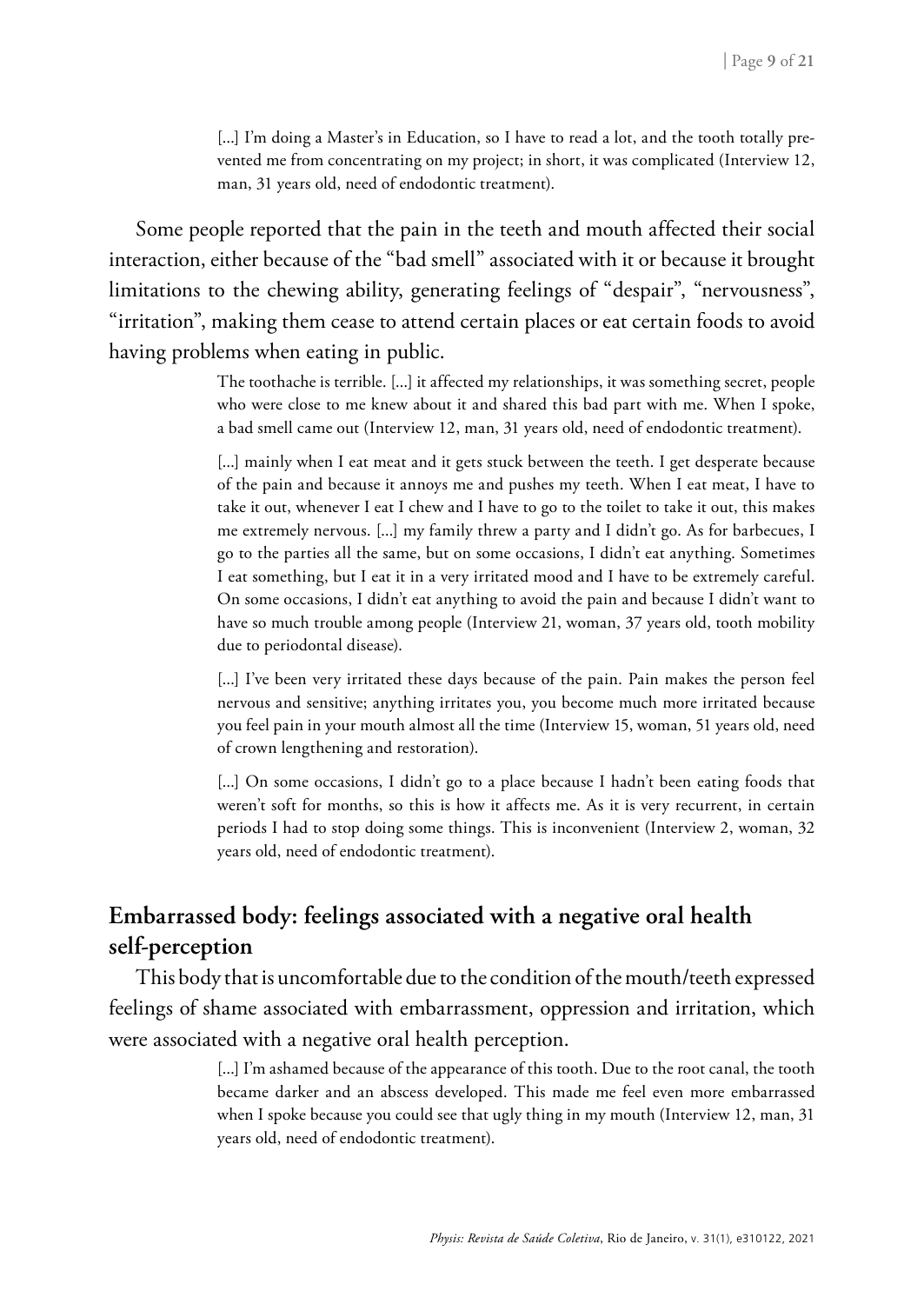[...] I'm doing a Master's in Education, so I have to read a lot, and the tooth totally prevented me from concentrating on my project; in short, it was complicated (Interview 12, man, 31 years old, need of endodontic treatment).

Some people reported that the pain in the teeth and mouth affected their social interaction, either because of the "bad smell" associated with it or because it brought limitations to the chewing ability, generating feelings of "despair", "nervousness", "irritation", making them cease to attend certain places or eat certain foods to avoid having problems when eating in public.

> The toothache is terrible. [...] it affected my relationships, it was something secret, people who were close to me knew about it and shared this bad part with me. When I spoke, a bad smell came out (Interview 12, man, 31 years old, need of endodontic treatment).

> [...] mainly when I eat meat and it gets stuck between the teeth. I get desperate because of the pain and because it annoys me and pushes my teeth. When I eat meat, I have to take it out, whenever I eat I chew and I have to go to the toilet to take it out, this makes me extremely nervous. [...] my family threw a party and I didn't go. As for barbecues, I go to the parties all the same, but on some occasions, I didn't eat anything. Sometimes I eat something, but I eat it in a very irritated mood and I have to be extremely careful. On some occasions, I didn't eat anything to avoid the pain and because I didn't want to have so much trouble among people (Interview 21, woman, 37 years old, tooth mobility due to periodontal disease).

> [...] I've been very irritated these days because of the pain. Pain makes the person feel nervous and sensitive; anything irritates you, you become much more irritated because you feel pain in your mouth almost all the time (Interview 15, woman, 51 years old, need of crown lengthening and restoration).

> [...] On some occasions, I didn't go to a place because I hadn't been eating foods that weren't soft for months, so this is how it affects me. As it is very recurrent, in certain periods I had to stop doing some things. This is inconvenient (Interview 2, woman, 32 years old, need of endodontic treatment).

### **Embarrassed body: feelings associated with a negative oral health self-perception**

This body that is uncomfortable due to the condition of the mouth/teeth expressed feelings of shame associated with embarrassment, oppression and irritation, which were associated with a negative oral health perception.

> [...] I'm ashamed because of the appearance of this tooth. Due to the root canal, the tooth became darker and an abscess developed. This made me feel even more embarrassed when I spoke because you could see that ugly thing in my mouth (Interview 12, man, 31 years old, need of endodontic treatment).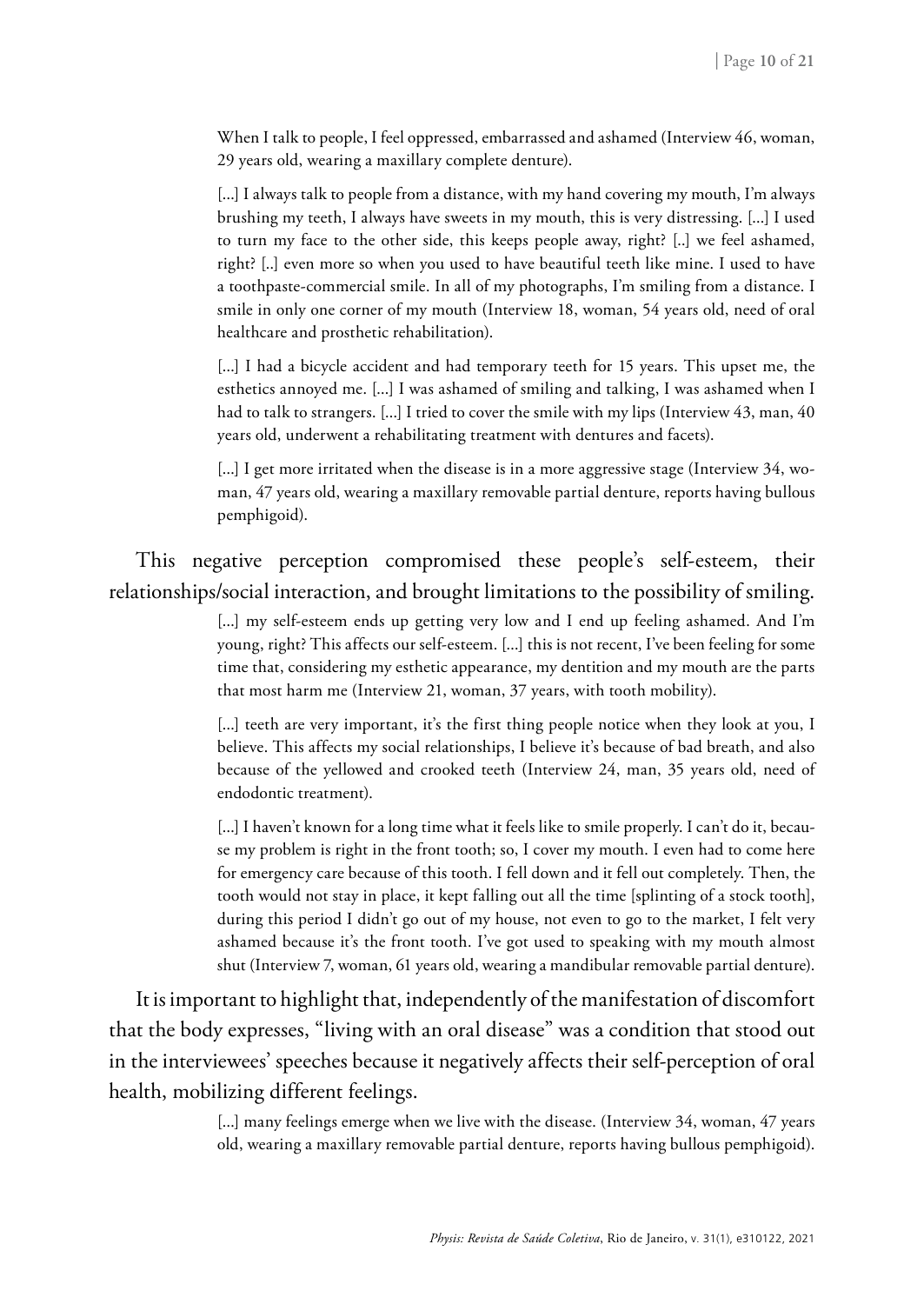When I talk to people, I feel oppressed, embarrassed and ashamed (Interview 46, woman, 29 years old, wearing a maxillary complete denture).

[...] I always talk to people from a distance, with my hand covering my mouth, I'm always brushing my teeth, I always have sweets in my mouth, this is very distressing. [...] I used to turn my face to the other side, this keeps people away, right? [..] we feel ashamed, right? [..] even more so when you used to have beautiful teeth like mine. I used to have a toothpaste-commercial smile. In all of my photographs, I'm smiling from a distance. I smile in only one corner of my mouth (Interview 18, woman, 54 years old, need of oral healthcare and prosthetic rehabilitation).

[...] I had a bicycle accident and had temporary teeth for 15 years. This upset me, the esthetics annoyed me. [...] I was ashamed of smiling and talking, I was ashamed when I had to talk to strangers. [...] I tried to cover the smile with my lips (Interview 43, man, 40 years old, underwent a rehabilitating treatment with dentures and facets).

[...] I get more irritated when the disease is in a more aggressive stage (Interview 34, woman, 47 years old, wearing a maxillary removable partial denture, reports having bullous pemphigoid).

### This negative perception compromised these people's self-esteem, their relationships/social interaction, and brought limitations to the possibility of smiling.

[...] my self-esteem ends up getting very low and I end up feeling ashamed. And I'm young, right? This affects our self-esteem. [...] this is not recent, I've been feeling for some time that, considering my esthetic appearance, my dentition and my mouth are the parts that most harm me (Interview 21, woman, 37 years, with tooth mobility).

[...] teeth are very important, it's the first thing people notice when they look at you, I believe. This affects my social relationships, I believe it's because of bad breath, and also because of the yellowed and crooked teeth (Interview 24, man, 35 years old, need of endodontic treatment).

[...] I haven't known for a long time what it feels like to smile properly. I can't do it, because my problem is right in the front tooth; so, I cover my mouth. I even had to come here for emergency care because of this tooth. I fell down and it fell out completely. Then, the tooth would not stay in place, it kept falling out all the time [splinting of a stock tooth], during this period I didn't go out of my house, not even to go to the market, I felt very ashamed because it's the front tooth. I've got used to speaking with my mouth almost shut (Interview 7, woman, 61 years old, wearing a mandibular removable partial denture).

It is important to highlight that, independently of the manifestation of discomfort that the body expresses, "living with an oral disease" was a condition that stood out in the interviewees' speeches because it negatively affects their self-perception of oral health, mobilizing different feelings.

> [...] many feelings emerge when we live with the disease. (Interview 34, woman, 47 years old, wearing a maxillary removable partial denture, reports having bullous pemphigoid).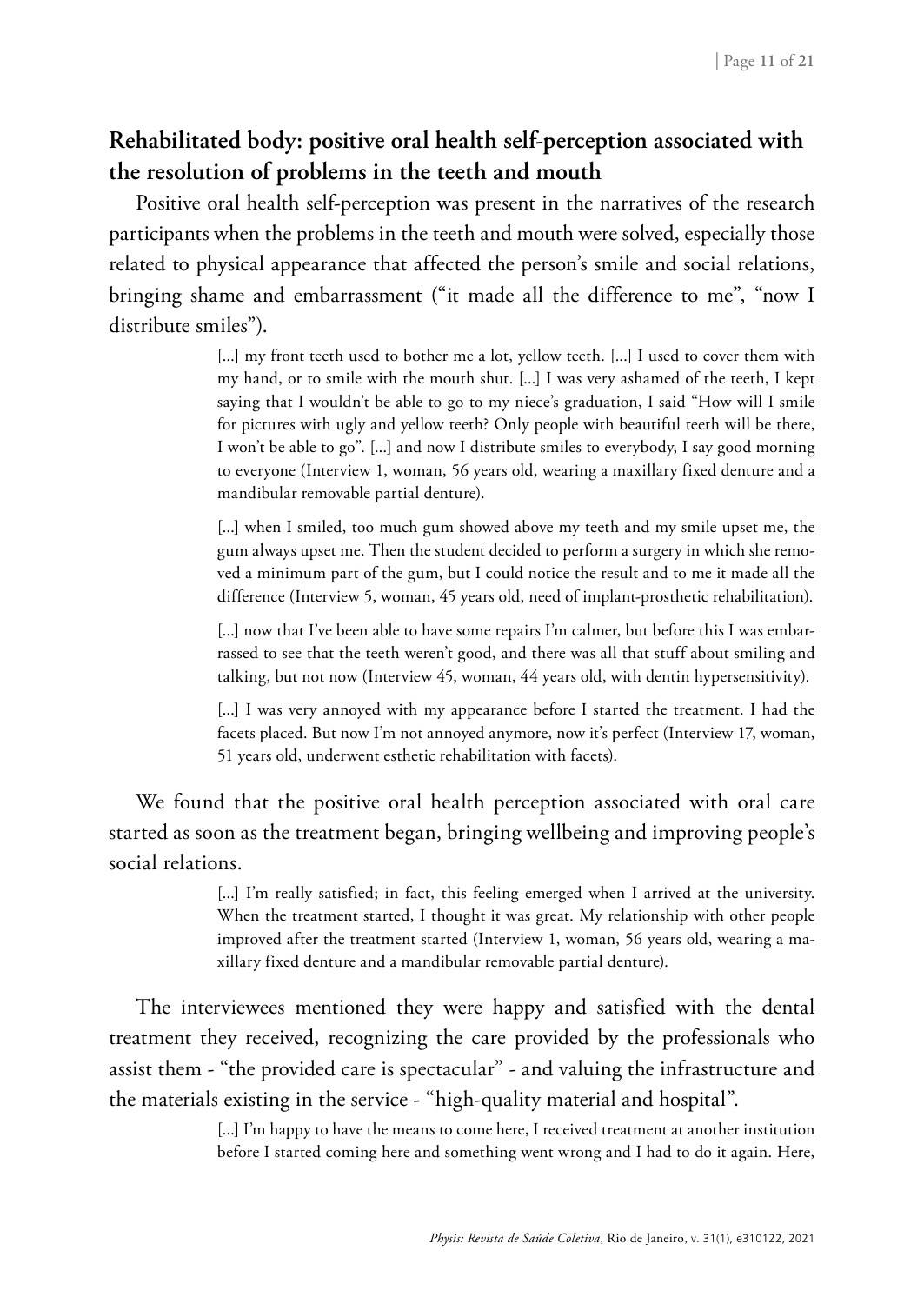### **Rehabilitated body: positive oral health self-perception associated with the resolution of problems in the teeth and mouth**

Positive oral health self-perception was present in the narratives of the research participants when the problems in the teeth and mouth were solved, especially those related to physical appearance that affected the person's smile and social relations, bringing shame and embarrassment ("it made all the difference to me", "now I distribute smiles").

> [...] my front teeth used to bother me a lot, yellow teeth. [...] I used to cover them with my hand, or to smile with the mouth shut. [...] I was very ashamed of the teeth, I kept saying that I wouldn't be able to go to my niece's graduation, I said "How will I smile for pictures with ugly and yellow teeth? Only people with beautiful teeth will be there, I won't be able to go". [...] and now I distribute smiles to everybody, I say good morning to everyone (Interview 1, woman, 56 years old, wearing a maxillary fixed denture and a mandibular removable partial denture).

> [...] when I smiled, too much gum showed above my teeth and my smile upset me, the gum always upset me. Then the student decided to perform a surgery in which she removed a minimum part of the gum, but I could notice the result and to me it made all the difference (Interview 5, woman, 45 years old, need of implant-prosthetic rehabilitation).

> [...] now that I've been able to have some repairs I'm calmer, but before this I was embarrassed to see that the teeth weren't good, and there was all that stuff about smiling and talking, but not now (Interview 45, woman, 44 years old, with dentin hypersensitivity).

> [...] I was very annoyed with my appearance before I started the treatment. I had the facets placed. But now I'm not annoyed anymore, now it's perfect (Interview 17, woman, 51 years old, underwent esthetic rehabilitation with facets).

We found that the positive oral health perception associated with oral care started as soon as the treatment began, bringing wellbeing and improving people's social relations.

> [...] I'm really satisfied; in fact, this feeling emerged when I arrived at the university. When the treatment started, I thought it was great. My relationship with other people improved after the treatment started (Interview 1, woman, 56 years old, wearing a maxillary fixed denture and a mandibular removable partial denture).

The interviewees mentioned they were happy and satisfied with the dental treatment they received, recognizing the care provided by the professionals who assist them - "the provided care is spectacular" - and valuing the infrastructure and the materials existing in the service - "high-quality material and hospital".

> [...] I'm happy to have the means to come here, I received treatment at another institution before I started coming here and something went wrong and I had to do it again. Here,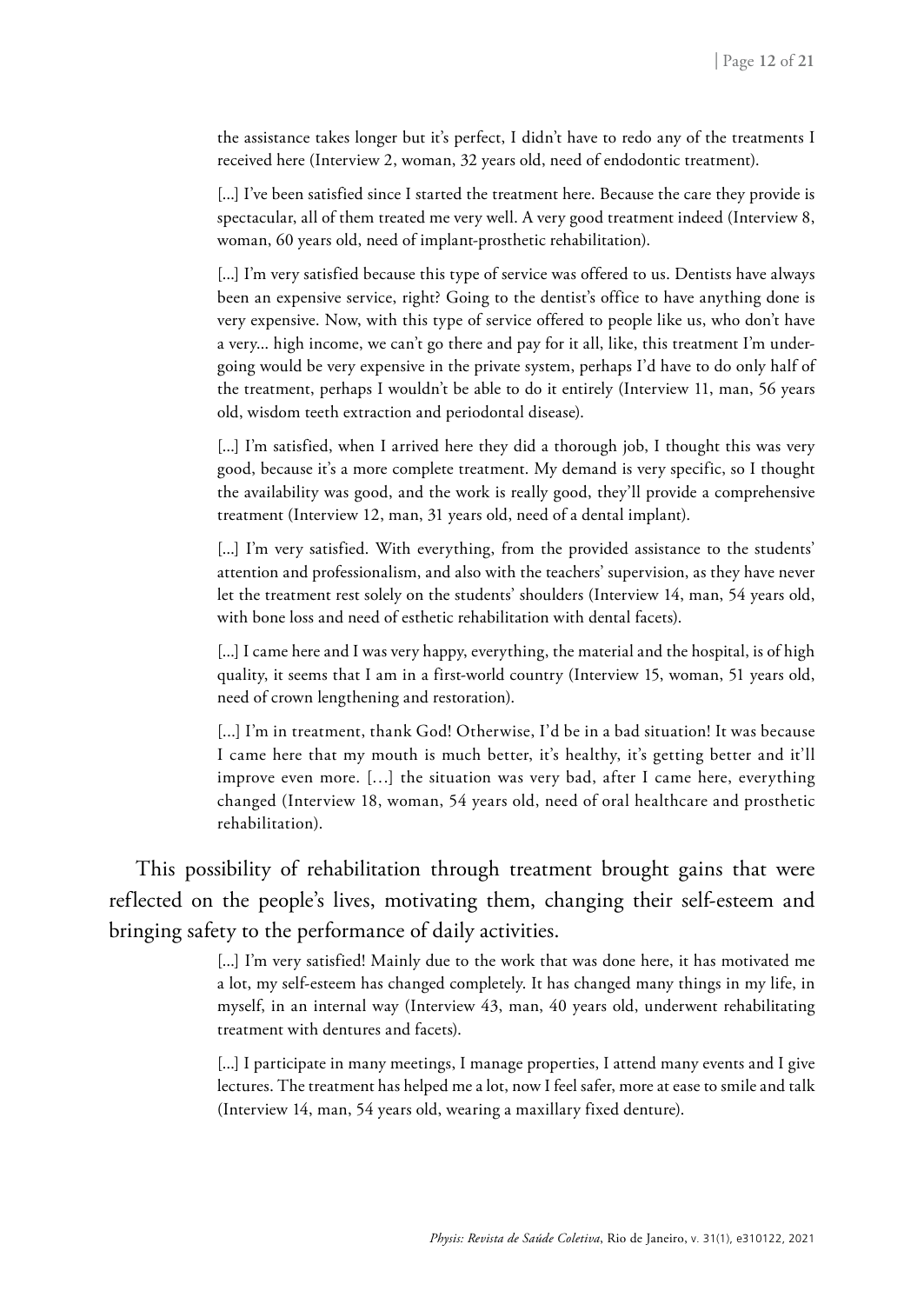the assistance takes longer but it's perfect, I didn't have to redo any of the treatments I received here (Interview 2, woman, 32 years old, need of endodontic treatment).

[...] I've been satisfied since I started the treatment here. Because the care they provide is spectacular, all of them treated me very well. A very good treatment indeed (Interview 8, woman, 60 years old, need of implant-prosthetic rehabilitation).

[...] I'm very satisfied because this type of service was offered to us. Dentists have always been an expensive service, right? Going to the dentist's office to have anything done is very expensive. Now, with this type of service offered to people like us, who don't have a very... high income, we can't go there and pay for it all, like, this treatment I'm undergoing would be very expensive in the private system, perhaps I'd have to do only half of the treatment, perhaps I wouldn't be able to do it entirely (Interview 11, man, 56 years old, wisdom teeth extraction and periodontal disease).

[...] I'm satisfied, when I arrived here they did a thorough job, I thought this was very good, because it's a more complete treatment. My demand is very specific, so I thought the availability was good, and the work is really good, they'll provide a comprehensive treatment (Interview 12, man, 31 years old, need of a dental implant).

[...] I'm very satisfied. With everything, from the provided assistance to the students' attention and professionalism, and also with the teachers' supervision, as they have never let the treatment rest solely on the students' shoulders (Interview 14, man, 54 years old, with bone loss and need of esthetic rehabilitation with dental facets).

[...] I came here and I was very happy, everything, the material and the hospital, is of high quality, it seems that I am in a first-world country (Interview 15, woman, 51 years old, need of crown lengthening and restoration).

[...] I'm in treatment, thank God! Otherwise, I'd be in a bad situation! It was because I came here that my mouth is much better, it's healthy, it's getting better and it'll improve even more. […] the situation was very bad, after I came here, everything changed (Interview 18, woman, 54 years old, need of oral healthcare and prosthetic rehabilitation).

This possibility of rehabilitation through treatment brought gains that were reflected on the people's lives, motivating them, changing their self-esteem and bringing safety to the performance of daily activities.

> [...] I'm very satisfied! Mainly due to the work that was done here, it has motivated me a lot, my self-esteem has changed completely. It has changed many things in my life, in myself, in an internal way (Interview 43, man, 40 years old, underwent rehabilitating treatment with dentures and facets).

> [...] I participate in many meetings, I manage properties, I attend many events and I give lectures. The treatment has helped me a lot, now I feel safer, more at ease to smile and talk (Interview 14, man, 54 years old, wearing a maxillary fixed denture).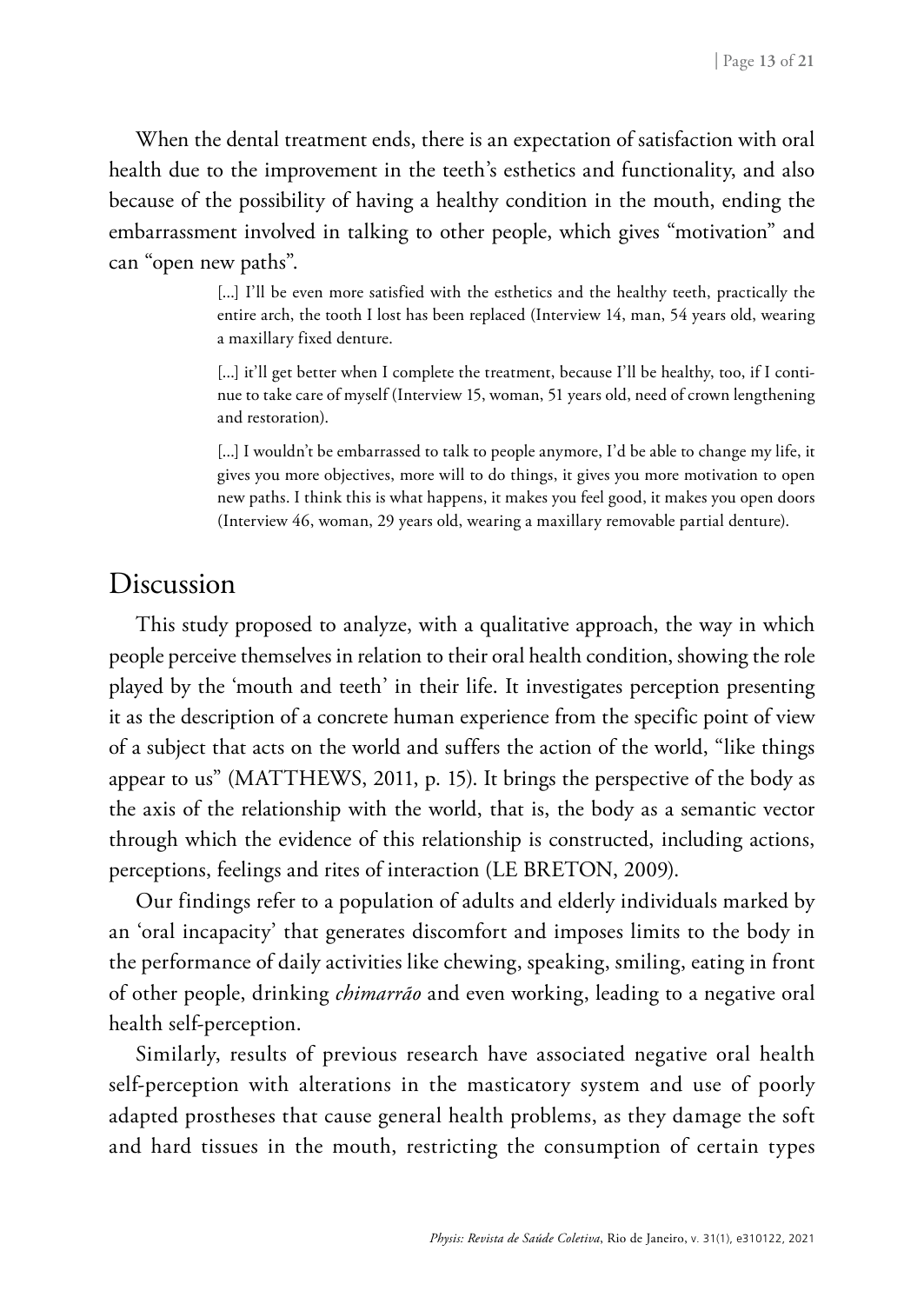When the dental treatment ends, there is an expectation of satisfaction with oral health due to the improvement in the teeth's esthetics and functionality, and also because of the possibility of having a healthy condition in the mouth, ending the embarrassment involved in talking to other people, which gives "motivation" and can "open new paths".

> [...] I'll be even more satisfied with the esthetics and the healthy teeth, practically the entire arch, the tooth I lost has been replaced (Interview 14, man, 54 years old, wearing a maxillary fixed denture.

> [...] it'll get better when I complete the treatment, because I'll be healthy, too, if I continue to take care of myself (Interview 15, woman, 51 years old, need of crown lengthening and restoration).

> [...] I wouldn't be embarrassed to talk to people anymore, I'd be able to change my life, it gives you more objectives, more will to do things, it gives you more motivation to open new paths. I think this is what happens, it makes you feel good, it makes you open doors (Interview 46, woman, 29 years old, wearing a maxillary removable partial denture).

### Discussion

This study proposed to analyze, with a qualitative approach, the way in which people perceive themselves in relation to their oral health condition, showing the role played by the 'mouth and teeth' in their life. It investigates perception presenting it as the description of a concrete human experience from the specific point of view of a subject that acts on the world and suffers the action of the world, "like things appear to us" (MATTHEWS, 2011, p. 15). It brings the perspective of the body as the axis of the relationship with the world, that is, the body as a semantic vector through which the evidence of this relationship is constructed, including actions, perceptions, feelings and rites of interaction (LE BRETON, 2009).

Our findings refer to a population of adults and elderly individuals marked by an 'oral incapacity' that generates discomfort and imposes limits to the body in the performance of daily activities like chewing, speaking, smiling, eating in front of other people, drinking *chimarrão* and even working, leading to a negative oral health self-perception.

Similarly, results of previous research have associated negative oral health self-perception with alterations in the masticatory system and use of poorly adapted prostheses that cause general health problems, as they damage the soft and hard tissues in the mouth, restricting the consumption of certain types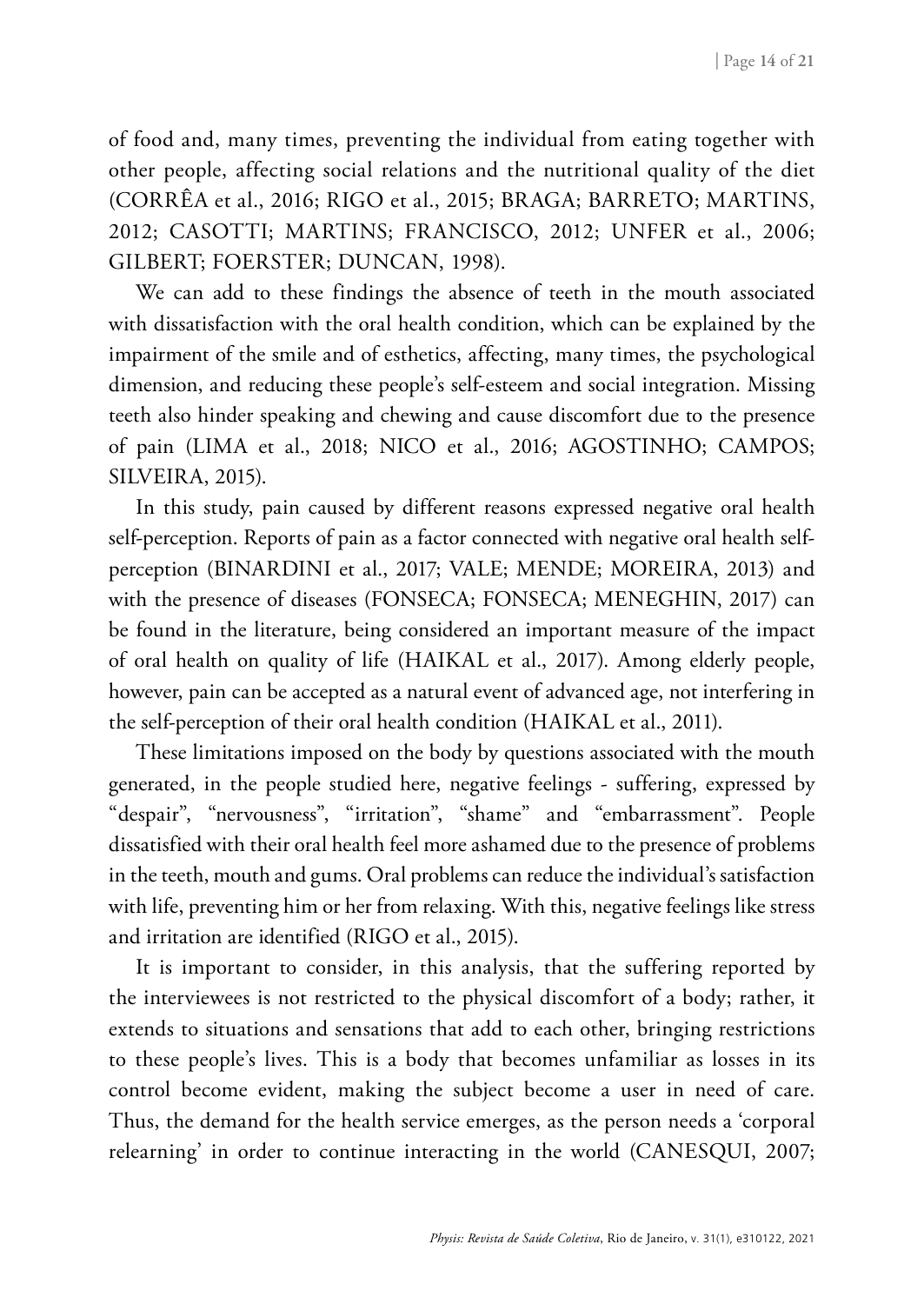of food and, many times, preventing the individual from eating together with other people, affecting social relations and the nutritional quality of the diet (CORRÊA et al., 2016; RIGO et al., 2015; BRAGA; BARRETO; MARTINS, 2012; CASOTTI; MARTINS; FRANCISCO, 2012; UNFER et al., 2006; GILBERT; FOERSTER; DUNCAN, 1998).

We can add to these findings the absence of teeth in the mouth associated with dissatisfaction with the oral health condition, which can be explained by the impairment of the smile and of esthetics, affecting, many times, the psychological dimension, and reducing these people's self-esteem and social integration. Missing teeth also hinder speaking and chewing and cause discomfort due to the presence of pain (LIMA et al., 2018; NICO et al., 2016; AGOSTINHO; CAMPOS; SILVEIRA, 2015).

In this study, pain caused by different reasons expressed negative oral health self-perception. Reports of pain as a factor connected with negative oral health selfperception (BINARDINI et al., 2017; VALE; MENDE; MOREIRA, 2013) and with the presence of diseases (FONSECA; FONSECA; MENEGHIN, 2017) can be found in the literature, being considered an important measure of the impact of oral health on quality of life (HAIKAL et al., 2017). Among elderly people, however, pain can be accepted as a natural event of advanced age, not interfering in the self-perception of their oral health condition (HAIKAL et al., 2011).

These limitations imposed on the body by questions associated with the mouth generated, in the people studied here, negative feelings - suffering, expressed by "despair", "nervousness", "irritation", "shame" and "embarrassment". People dissatisfied with their oral health feel more ashamed due to the presence of problems in the teeth, mouth and gums. Oral problems can reduce the individual's satisfaction with life, preventing him or her from relaxing. With this, negative feelings like stress and irritation are identified (RIGO et al., 2015).

It is important to consider, in this analysis, that the suffering reported by the interviewees is not restricted to the physical discomfort of a body; rather, it extends to situations and sensations that add to each other, bringing restrictions to these people's lives. This is a body that becomes unfamiliar as losses in its control become evident, making the subject become a user in need of care. Thus, the demand for the health service emerges, as the person needs a 'corporal relearning' in order to continue interacting in the world (CANESQUI, 2007;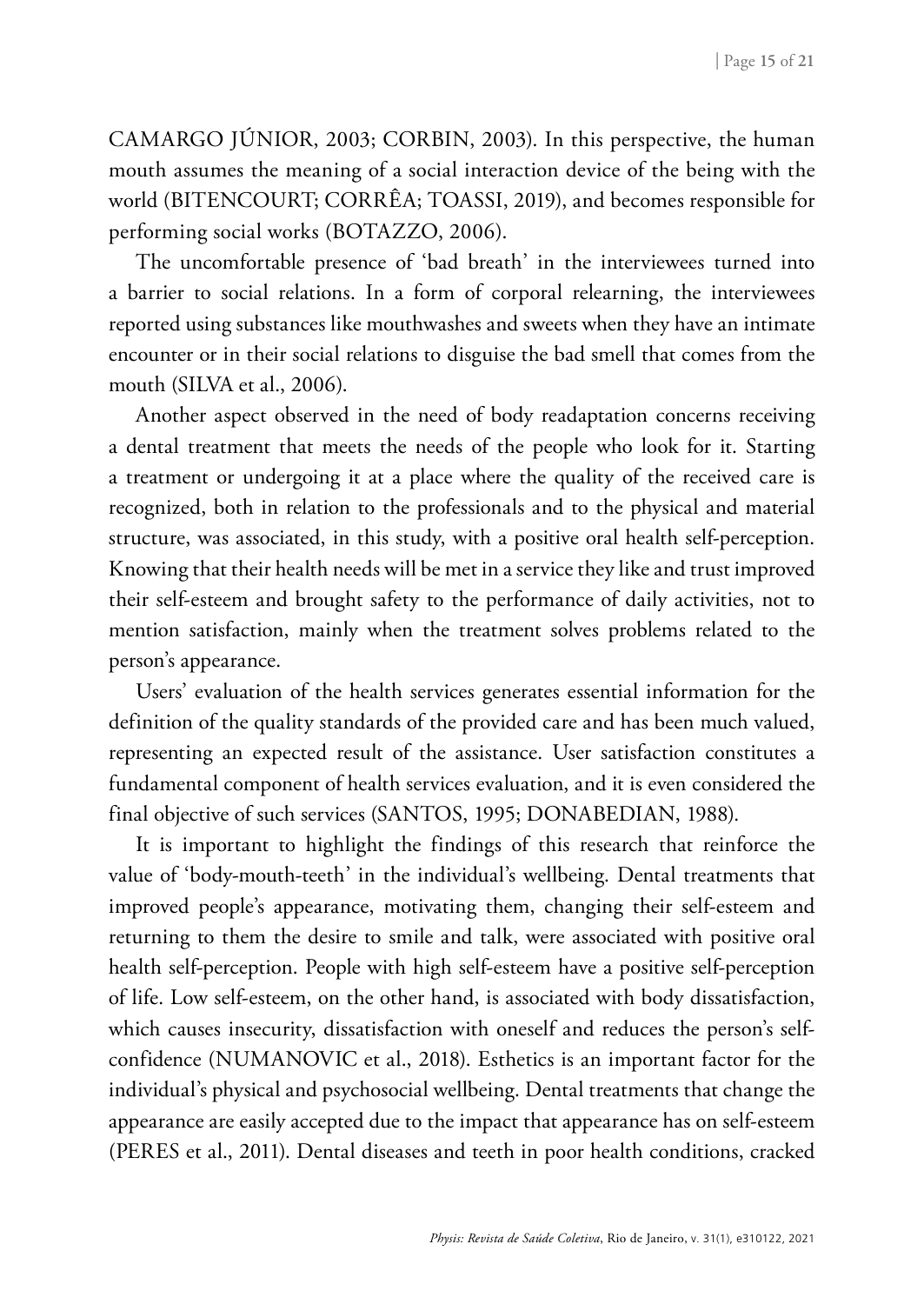CAMARGO JÚNIOR, 2003; CORBIN, 2003). In this perspective, the human mouth assumes the meaning of a social interaction device of the being with the world (BITENCOURT; CORRÊA; TOASSI, 2019), and becomes responsible for performing social works (BOTAZZO, 2006).

The uncomfortable presence of 'bad breath' in the interviewees turned into a barrier to social relations. In a form of corporal relearning, the interviewees reported using substances like mouthwashes and sweets when they have an intimate encounter or in their social relations to disguise the bad smell that comes from the mouth (SILVA et al., 2006).

Another aspect observed in the need of body readaptation concerns receiving a dental treatment that meets the needs of the people who look for it. Starting a treatment or undergoing it at a place where the quality of the received care is recognized, both in relation to the professionals and to the physical and material structure, was associated, in this study, with a positive oral health self-perception. Knowing that their health needs will be met in a service they like and trust improved their self-esteem and brought safety to the performance of daily activities, not to mention satisfaction, mainly when the treatment solves problems related to the person's appearance.

Users' evaluation of the health services generates essential information for the definition of the quality standards of the provided care and has been much valued, representing an expected result of the assistance. User satisfaction constitutes a fundamental component of health services evaluation, and it is even considered the final objective of such services (SANTOS, 1995; DONABEDIAN, 1988).

It is important to highlight the findings of this research that reinforce the value of 'body-mouth-teeth' in the individual's wellbeing. Dental treatments that improved people's appearance, motivating them, changing their self-esteem and returning to them the desire to smile and talk, were associated with positive oral health self-perception. People with high self-esteem have a positive self-perception of life. Low self-esteem, on the other hand, is associated with body dissatisfaction, which causes insecurity, dissatisfaction with oneself and reduces the person's selfconfidence (NUMANOVIC et al., 2018). Esthetics is an important factor for the individual's physical and psychosocial wellbeing. Dental treatments that change the appearance are easily accepted due to the impact that appearance has on self-esteem (PERES et al., 2011). Dental diseases and teeth in poor health conditions, cracked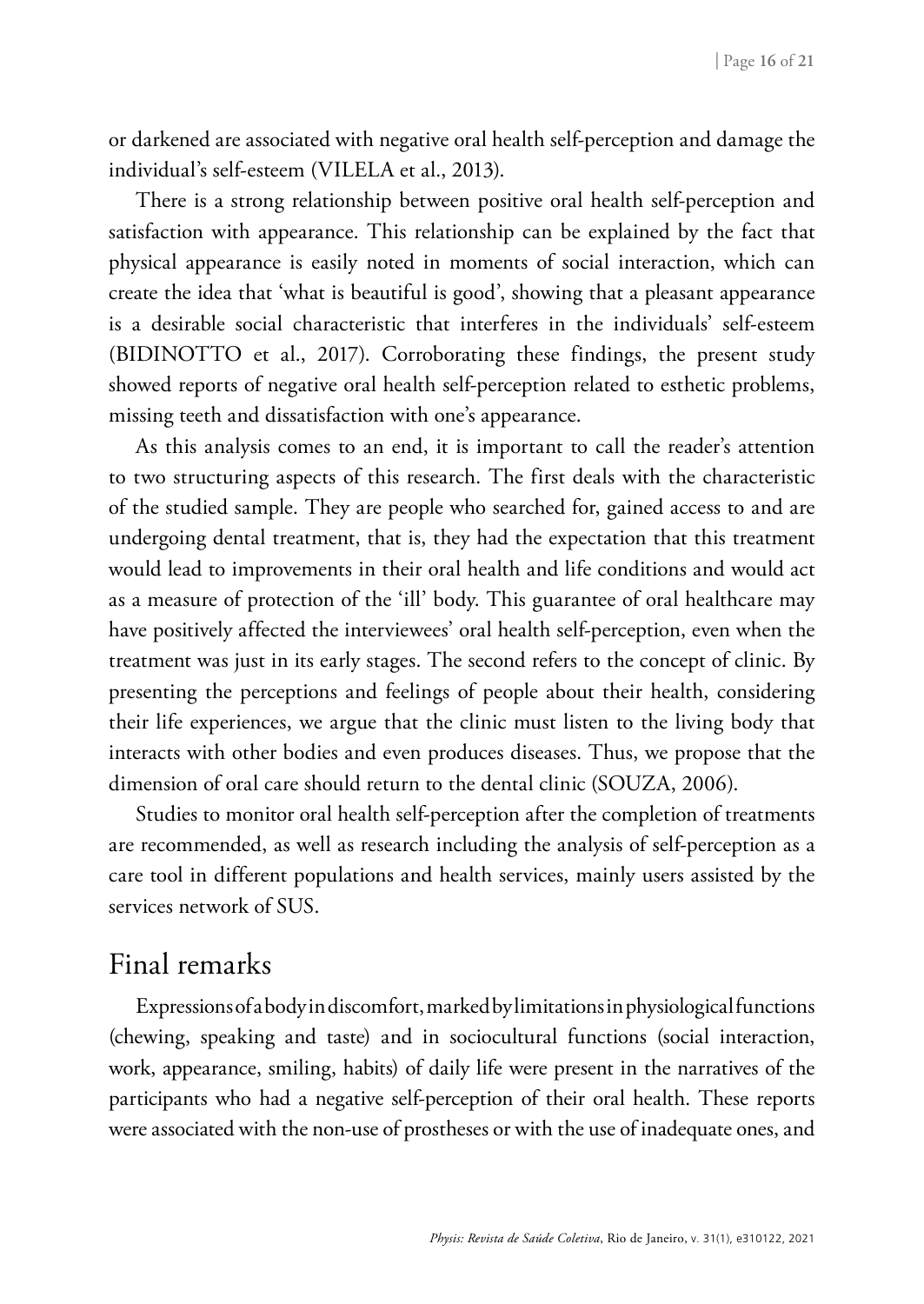or darkened are associated with negative oral health self-perception and damage the individual's self-esteem (VILELA et al., 2013).

There is a strong relationship between positive oral health self-perception and satisfaction with appearance. This relationship can be explained by the fact that physical appearance is easily noted in moments of social interaction, which can create the idea that 'what is beautiful is good', showing that a pleasant appearance is a desirable social characteristic that interferes in the individuals' self-esteem (BIDINOTTO et al., 2017). Corroborating these findings, the present study showed reports of negative oral health self-perception related to esthetic problems, missing teeth and dissatisfaction with one's appearance.

As this analysis comes to an end, it is important to call the reader's attention to two structuring aspects of this research. The first deals with the characteristic of the studied sample. They are people who searched for, gained access to and are undergoing dental treatment, that is, they had the expectation that this treatment would lead to improvements in their oral health and life conditions and would act as a measure of protection of the 'ill' body. This guarantee of oral healthcare may have positively affected the interviewees' oral health self-perception, even when the treatment was just in its early stages. The second refers to the concept of clinic. By presenting the perceptions and feelings of people about their health, considering their life experiences, we argue that the clinic must listen to the living body that interacts with other bodies and even produces diseases. Thus, we propose that the dimension of oral care should return to the dental clinic (SOUZA, 2006).

Studies to monitor oral health self-perception after the completion of treatments are recommended, as well as research including the analysis of self-perception as a care tool in different populations and health services, mainly users assisted by the services network of SUS.

### Final remarks

Expressions of a body in discomfort, marked by limitations in physiological functions (chewing, speaking and taste) and in sociocultural functions (social interaction, work, appearance, smiling, habits) of daily life were present in the narratives of the participants who had a negative self-perception of their oral health. These reports were associated with the non-use of prostheses or with the use of inadequate ones, and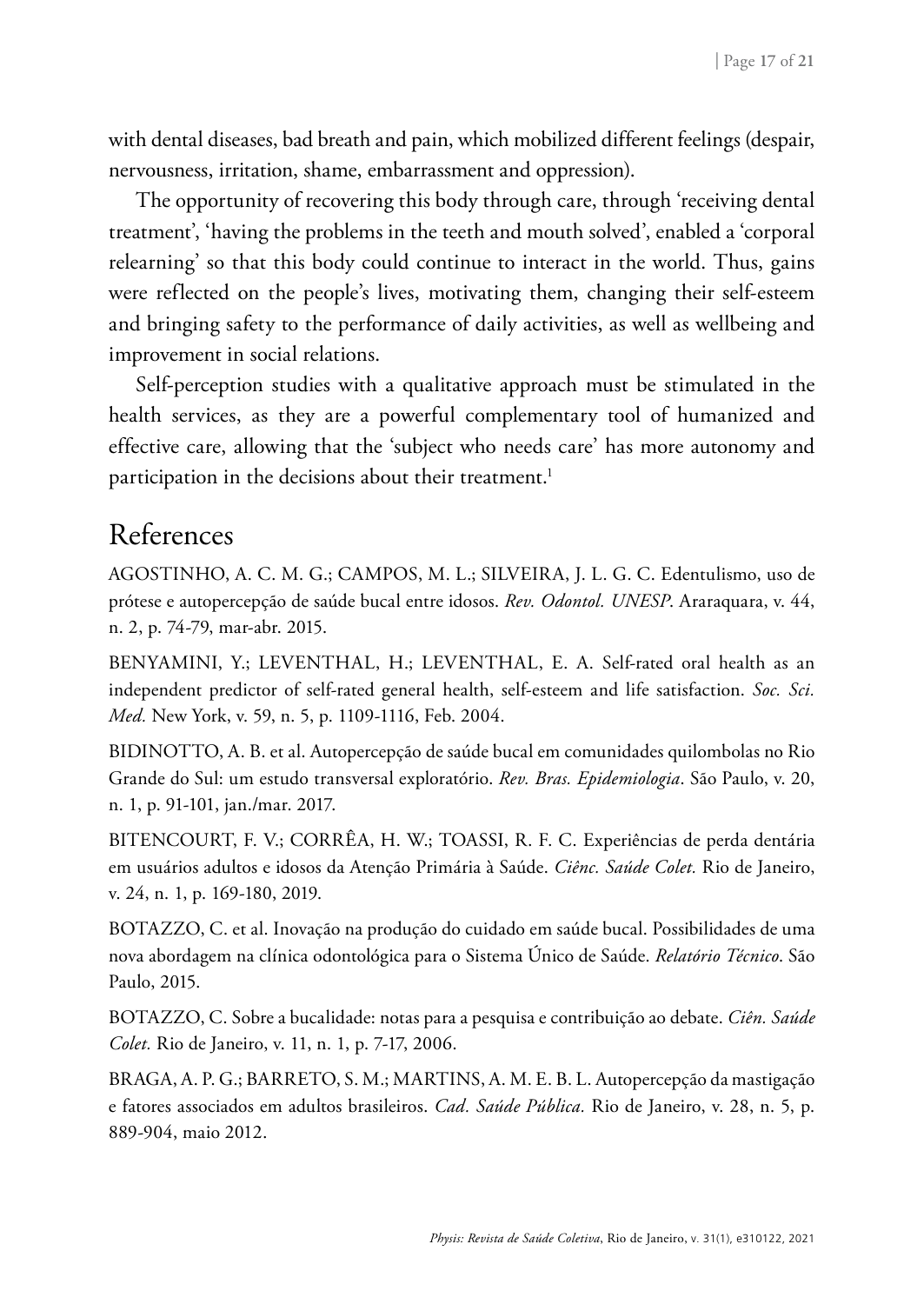with dental diseases, bad breath and pain, which mobilized different feelings (despair, nervousness, irritation, shame, embarrassment and oppression).

The opportunity of recovering this body through care, through 'receiving dental treatment', 'having the problems in the teeth and mouth solved', enabled a 'corporal relearning' so that this body could continue to interact in the world. Thus, gains were reflected on the people's lives, motivating them, changing their self-esteem and bringing safety to the performance of daily activities, as well as wellbeing and improvement in social relations.

Self-perception studies with a qualitative approach must be stimulated in the health services, as they are a powerful complementary tool of humanized and effective care, allowing that the 'subject who needs care' has more autonomy and participation in the decisions about their treatment.<sup>1</sup>

### References

AGOSTINHO, A. C. M. G.; CAMPOS, M. L.; SILVEIRA, J. L. G. C. Edentulismo, uso de prótese e autopercepção de saúde bucal entre idosos. *Rev. Odontol. UNESP*. Araraquara, v. 44, n. 2, p. 74-79, mar-abr. 2015.

BENYAMINI, Y.; LEVENTHAL, H.; LEVENTHAL, E. A. Self-rated oral health as an independent predictor of self-rated general health, self-esteem and life satisfaction. *Soc. Sci. Med.* New York, v. 59, n. 5, p. 1109-1116, Feb. 2004.

BIDINOTTO, A. B. et al. Autopercepção de saúde bucal em comunidades quilombolas no Rio Grande do Sul: um estudo transversal exploratório. *Rev. Bras. Epidemiologia*. São Paulo, v. 20, n. 1, p. 91-101, jan./mar. 2017.

BITENCOURT, F. V.; CORRÊA, H. W.; TOASSI, R. F. C. Experiências de perda dentária em usuários adultos e idosos da Atenção Primária à Saúde. *Ciênc. Saúde Colet.* Rio de Janeiro, v. 24, n. 1, p. 169-180, 2019.

BOTAZZO, C. et al. Inovação na produção do cuidado em saúde bucal. Possibilidades de uma nova abordagem na clínica odontológica para o Sistema Único de Saúde. *Relatório Técnico*. São Paulo, 2015.

BOTAZZO, C. Sobre a bucalidade: notas para a pesquisa e contribuição ao debate. *Ciên. Saúde Colet.* Rio de Janeiro, v. 11, n. 1, p. 7-17, 2006.

BRAGA, A. P. G.; BARRETO, S. M.; MARTINS, A. M. E. B. L. Autopercepção da mastigação e fatores associados em adultos brasileiros. *Cad. Saúde Pública.* Rio de Janeiro, v. 28, n. 5, p. 889-904, maio 2012.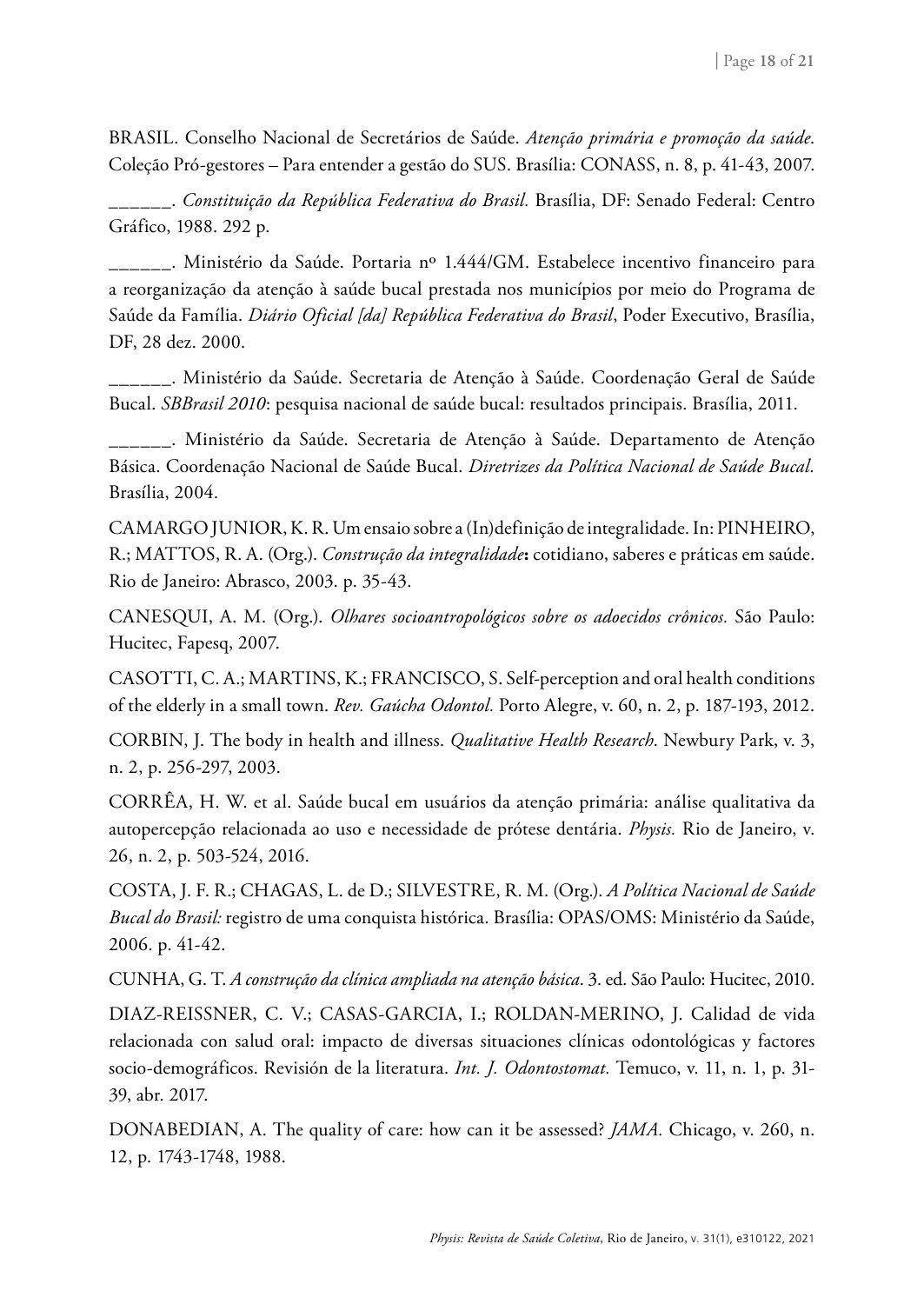BRASIL. Conselho Nacional de Secretários de Saúde. *Atenção primária e promoção da saúde*. Coleção Pró-gestores – Para entender a gestão do SUS. Brasília: CONASS, n. 8, p. 41-43, 2007.

\_\_\_\_\_\_. *Constituição da República Federativa do Brasil.* Brasília, DF: Senado Federal: Centro Gráfico, 1988. 292 p.

\_\_\_\_\_\_. Ministério da Saúde. Portaria nº 1.444/GM. Estabelece incentivo financeiro para a reorganização da atenção à saúde bucal prestada nos municípios por meio do Programa de Saúde da Família. *Diário Oficial [da] República Federativa do Brasil*, Poder Executivo, Brasília, DF, 28 dez. 2000.

\_\_\_\_\_\_. Ministério da Saúde. Secretaria de Atenção à Saúde. Coordenação Geral de Saúde Bucal. *SBBrasil 2010*: pesquisa nacional de saúde bucal: resultados principais. Brasília, 2011.

\_\_\_\_\_\_. Ministério da Saúde. Secretaria de Atenção à Saúde. Departamento de Atenção Básica. Coordenação Nacional de Saúde Bucal. *Diretrizes da Política Nacional de Saúde Bucal.* Brasília, 2004.

CAMARGO JUNIOR, K. R. Um ensaio sobre a (In)definição de integralidade. In: PINHEIRO, R.; MATTOS, R. A. (Org.). *Construção da integralidade***:** cotidiano, saberes e práticas em saúde. Rio de Janeiro: Abrasco, 2003. p. 35-43.

CANESQUI, A. M. (Org.). *Olhares socioantropológicos sobre os adoecidos crônicos.* São Paulo: Hucitec, Fapesq, 2007.

CASOTTI, C. A.; MARTINS, K.; FRANCISCO, S. Self-perception and oral health conditions of the elderly in a small town. *Rev. Gaúcha Odontol.* Porto Alegre, v. 60, n. 2, p. 187-193, 2012.

CORBIN, J. The body in health and illness. *Qualitative Health Research*. Newbury Park, v. 3, n. 2, p. 256-297, 2003.

CORRÊA, H. W. et al. Saúde bucal em usuários da atenção primária: análise qualitativa da autopercepção relacionada ao uso e necessidade de prótese dentária. *Physis.* Rio de Janeiro, v. 26, n. 2, p. 503-524, 2016.

COSTA, J. F. R.; CHAGAS, L. de D.; SILVESTRE, R. M. (Org.). *A Política Nacional de Saúde Bucal do Brasil:* registro de uma conquista histórica. Brasília: OPAS/OMS: Ministério da Saúde, 2006. p. 41-42.

CUNHA, G. T. *A construção da clínica ampliada na atenção básica*. 3. ed. São Paulo: Hucitec, 2010.

DIAZ-REISSNER, C. V.; CASAS-GARCIA, I.; ROLDAN-MERINO, J. Calidad de vida relacionada con salud oral: impacto de diversas situaciones clínicas odontológicas y factores socio-demográficos. Revisión de la literatura. *Int. J. Odontostomat.* Temuco, v. 11, n. 1, p. 31- 39, abr. 2017.

DONABEDIAN, A. The quality of care: how can it be assessed? *JAMA.* Chicago, v. 260, n. 12, p. 1743-1748, 1988.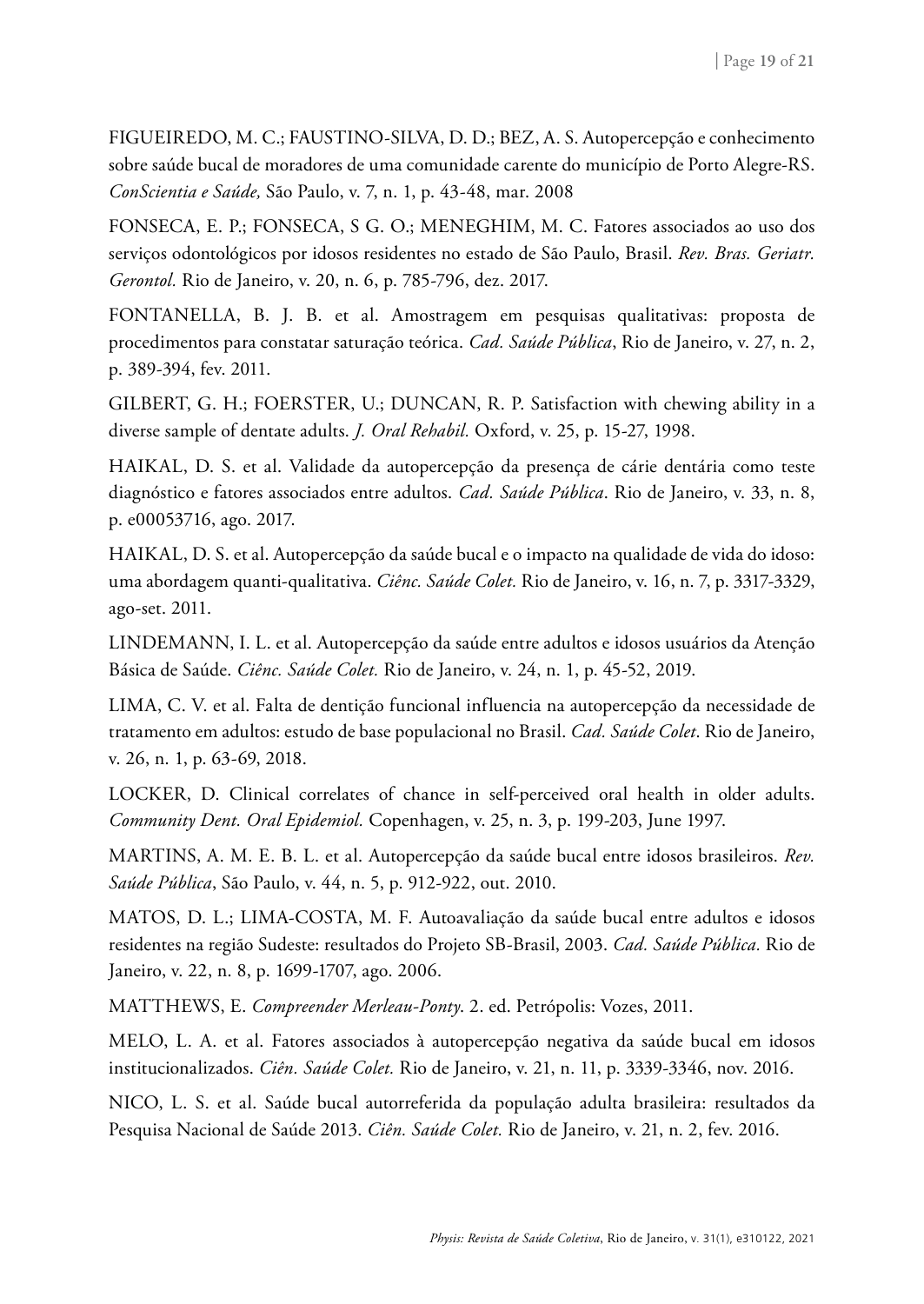FIGUEIREDO, M. C.; FAUSTINO-SILVA, D. D.; BEZ, A. S. Autopercepção e conhecimento sobre saúde bucal de moradores de uma comunidade carente do município de Porto Alegre-RS. *ConScientia e Saúde,* São Paulo, v. 7, n. 1, p. 43-48, mar. 2008

FONSECA, E. P.; FONSECA, S G. O.; MENEGHIM, M. C. Fatores associados ao uso dos serviços odontológicos por idosos residentes no estado de São Paulo, Brasil. *Rev. Bras. Geriatr. Gerontol.* Rio de Janeiro, v. 20, n. 6, p. 785-796, dez. 2017.

FONTANELLA, B. J. B. et al. Amostragem em pesquisas qualitativas: proposta de procedimentos para constatar saturação teórica. *Cad. Saúde Pública*, Rio de Janeiro, v. 27, n. 2, p. 389-394, fev. 2011.

GILBERT, G. H.; FOERSTER, U.; DUNCAN, R. P. Satisfaction with chewing ability in a diverse sample of dentate adults. *J. Oral Rehabil.* Oxford, v. 25, p. 15-27, 1998.

HAIKAL, D. S. et al. Validade da autopercepção da presença de cárie dentária como teste diagnóstico e fatores associados entre adultos. *Cad. Saúde Pública*. Rio de Janeiro, v. 33, n. 8, p. e00053716, ago. 2017.

HAIKAL, D. S. et al. Autopercepção da saúde bucal e o impacto na qualidade de vida do idoso: uma abordagem quanti-qualitativa. *Ciênc. Saúde Colet.* Rio de Janeiro, v. 16, n. 7, p. 3317-3329, ago-set. 2011.

LINDEMANN, I. L. et al. Autopercepção da saúde entre adultos e idosos usuários da Atenção Básica de Saúde. *Ciênc. Saúde Colet.* Rio de Janeiro, v. 24, n. 1, p. 45-52, 2019.

LIMA, C. V. et al. Falta de dentição funcional influencia na autopercepção da necessidade de tratamento em adultos: estudo de base populacional no Brasil. *Cad. Saúde Colet*. Rio de Janeiro, v. 26, n. 1, p. 63-69, 2018.

LOCKER, D. Clinical correlates of chance in self-perceived oral health in older adults. *Community Dent. Oral Epidemiol.* Copenhagen, v. 25, n. 3, p. 199-203, June 1997.

MARTINS, A. M. E. B. L. et al. Autopercepção da saúde bucal entre idosos brasileiros. *Rev. Saúde Pública*, São Paulo, v. 44, n. 5, p. 912-922, out. 2010.

MATOS, D. L.; LIMA-COSTA, M. F. Autoavaliação da saúde bucal entre adultos e idosos residentes na região Sudeste: resultados do Projeto SB-Brasil, 2003. *Cad. Saúde Pública.* Rio de Janeiro, v. 22, n. 8, p. 1699-1707, ago. 2006.

MATTHEWS, E. *Compreender Merleau-Ponty*. 2. ed. Petrópolis: Vozes, 2011.

[MELO, L. A.](http://www.google.com/search?q=%22Melo, La%C3%A9rcio Almeida de%22) et al. [Fatores associados à autopercepção negativa da saúde bucal em idosos](http://www.scielosp.org/scielo.php?script=sci_arttext&pid=S1413-81232016001103339&lang=pt) [institucionalizados.](http://www.scielosp.org/scielo.php?script=sci_arttext&pid=S1413-81232016001103339&lang=pt) *Ciên. Saúde Colet.* Rio de Janeiro, v. 21, n. 11, p. 3339-3346, nov. 2016.

NICO, L. S. et al. Saúde bucal autorreferida da população adulta brasileira: resultados da Pesquisa Nacional de Saúde 2013. *Ciên. Saúde Colet.* Rio de Janeiro, v. 21, n. 2, fev. 2016.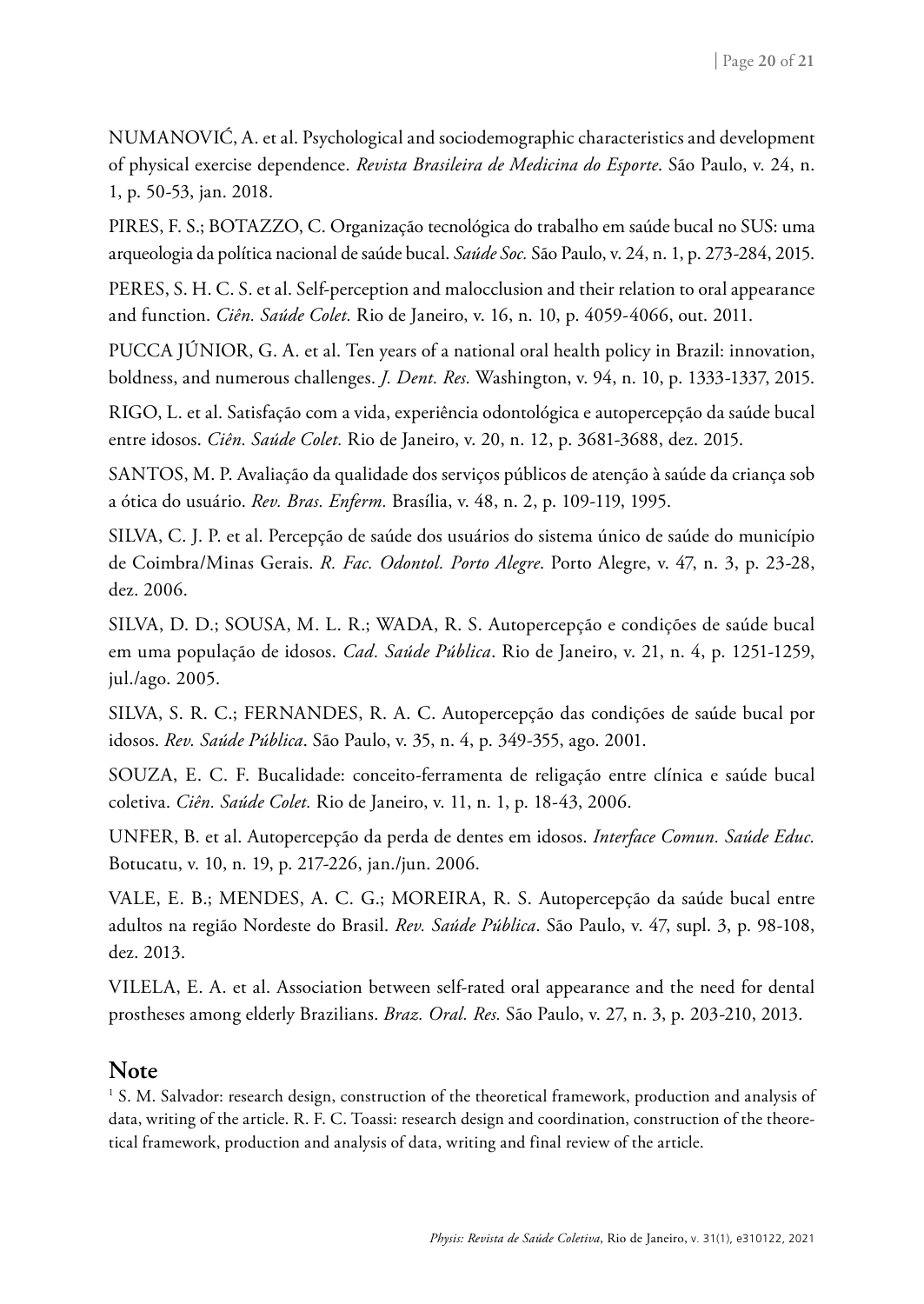[NUMANOVIĆ, A.](http://www.google.com/search?q=%22Numanovi%C4%87, Almedina%22) et al. Psychological and sociodemographic characteristics and development of physical exercise dependence. *[Revista Brasileira de Medicina do Esporte](https://search.scielo.org/?q=Array&lang=pt&count=15&from=0&output=site&sort=&format=summary&fb=&page=1&q=autopercep%C3%A7%C3%A3o%2C+autoestima&lang=pt&page=1)*. São Paulo, v. 24, n. 1, p. 50-53, jan. 2018.

PIRES, F. S.; BOTAZZO, C. Organização tecnológica do trabalho em saúde bucal no SUS: uma arqueologia da política nacional de saúde bucal. *Saúde Soc.* São Paulo, v. 24, n. 1, p. 273-284, 2015.

[PERES, S. H. C. S.](http://www.google.com/search?q=%22Peres, S%C3%ADlvia Helena de Carvalho Sales%22) et al. [Self-perception and malocclusion and their relation to oral appearance](http://www.scielo.br/scielo.php?script=sci_arttext&pid=S1413-81232011001100011&lang=pt) [and function](http://www.scielo.br/scielo.php?script=sci_arttext&pid=S1413-81232011001100011&lang=pt). *Ciên. Saúde Colet.* Rio de Janeiro, v. 16, n. 10, p. 4059-4066, out. 2011.

PUCCA JÚNIOR, G. A. et al. Ten years of a national oral health policy in Brazil: innovation, boldness, and numerous challenges. *J. Dent. Res.* Washington, v. 94, n. 10, p. 1333-1337, 2015.

RIGO, L. et al. Satisfação com a vida, experiência odontológica e autopercepção da saúde bucal entre idosos. *Ciên. Saúde Colet.* Rio de Janeiro, v. 20, n. 12, p. 3681-3688, dez. 2015.

SANTOS, M. P. Avaliação da qualidade dos serviços públicos de atenção à saúde da criança sob a ótica do usuário. *Rev. Bras. Enferm.* Brasília, v. 48, n. 2, p. 109-119, 1995.

SILVA, C. J. P. et al. Percepção de saúde dos usuários do sistema único de saúde do município de Coimbra/Minas Gerais. *R. Fac. Odontol. Porto Alegre*. Porto Alegre, v. 47, n. 3, p. 23-28, dez. 2006.

SILVA, D. D.; SOUSA, M. L. R.; WADA, R. S. Autopercepção e condições de saúde bucal em uma população de idosos. *Cad. Saúde Pública*. Rio de Janeiro, v. 21, n. 4, p. 1251-1259, jul./ago. 2005.

SILVA, S. R. C.; FERNANDES, R. A. C. Autopercepção das condições de saúde bucal por idosos. *Rev. Saúde Pública*. São Paulo, v. 35, n. 4, p. 349-355, ago. 2001.

SOUZA, E. C. F. Bucalidade: conceito-ferramenta de religação entre clínica e saúde bucal coletiva. *Ciên. Saúde Colet.* Rio de Janeiro, v. 11, n. 1, p. 18-43, 2006.

UNFER, B. et al. Autopercepção da perda de dentes em idosos. *Interface Comun. Saúde Educ.* Botucatu, v. 10, n. 19, p. 217-226, jan./jun. 2006.

VALE, E. B.; MENDES, A. C. G.; MOREIRA, R. S. Autopercepção da saúde bucal entre adultos na região Nordeste do Brasil. *Rev. Saúde Pública*. São Paulo, v. 47, supl. 3, p. 98-108, dez. 2013.

VILELA, E. A. et al. Association between self-rated oral appearance and the need for dental prostheses among elderly Brazilians. *Braz. Oral. Res.* São Paulo, v. 27, n. 3, p. 203-210, 2013.

#### **Note**

1 S. M. Salvador: research design, construction of the theoretical framework, production and analysis of data, writing of the article. R. F. C. Toassi: research design and coordination, construction of the theoretical framework, production and analysis of data, writing and final review of the article.